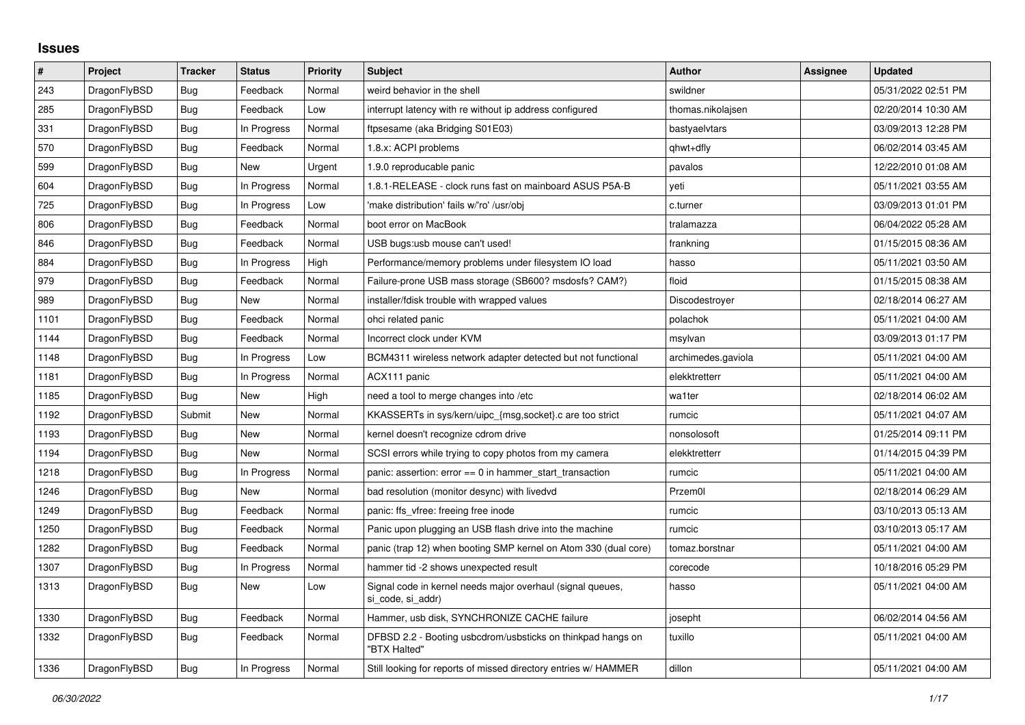## **Issues**

| $\pmb{\sharp}$ | Project      | <b>Tracker</b> | <b>Status</b> | <b>Priority</b> | <b>Subject</b>                                                                  | <b>Author</b>      | Assignee | <b>Updated</b>      |
|----------------|--------------|----------------|---------------|-----------------|---------------------------------------------------------------------------------|--------------------|----------|---------------------|
| 243            | DragonFlyBSD | Bug            | Feedback      | Normal          | weird behavior in the shell                                                     | swildner           |          | 05/31/2022 02:51 PM |
| 285            | DragonFlyBSD | <b>Bug</b>     | Feedback      | Low             | interrupt latency with re without ip address configured                         | thomas.nikolajsen  |          | 02/20/2014 10:30 AM |
| 331            | DragonFlyBSD | <b>Bug</b>     | In Progress   | Normal          | ftpsesame (aka Bridging S01E03)                                                 | bastyaelvtars      |          | 03/09/2013 12:28 PM |
| 570            | DragonFlyBSD | <b>Bug</b>     | Feedback      | Normal          | 1.8.x: ACPI problems                                                            | qhwt+dfly          |          | 06/02/2014 03:45 AM |
| 599            | DragonFlyBSD | <b>Bug</b>     | New           | Urgent          | 1.9.0 reproducable panic                                                        | pavalos            |          | 12/22/2010 01:08 AM |
| 604            | DragonFlyBSD | Bug            | In Progress   | Normal          | 1.8.1-RELEASE - clock runs fast on mainboard ASUS P5A-B                         | yeti               |          | 05/11/2021 03:55 AM |
| 725            | DragonFlyBSD | Bug            | In Progress   | Low             | 'make distribution' fails w/'ro' /usr/obj                                       | c.turner           |          | 03/09/2013 01:01 PM |
| 806            | DragonFlyBSD | Bug            | Feedback      | Normal          | boot error on MacBook                                                           | tralamazza         |          | 06/04/2022 05:28 AM |
| 846            | DragonFlyBSD | Bug            | Feedback      | Normal          | USB bugs:usb mouse can't used!                                                  | frankning          |          | 01/15/2015 08:36 AM |
| 884            | DragonFlyBSD | Bug            | In Progress   | High            | Performance/memory problems under filesystem IO load                            | hasso              |          | 05/11/2021 03:50 AM |
| 979            | DragonFlyBSD | Bug            | Feedback      | Normal          | Failure-prone USB mass storage (SB600? msdosfs? CAM?)                           | floid              |          | 01/15/2015 08:38 AM |
| 989            | DragonFlyBSD | Bug            | New           | Normal          | installer/fdisk trouble with wrapped values                                     | Discodestroyer     |          | 02/18/2014 06:27 AM |
| 1101           | DragonFlyBSD | <b>Bug</b>     | Feedback      | Normal          | ohci related panic                                                              | polachok           |          | 05/11/2021 04:00 AM |
| 1144           | DragonFlyBSD | <b>Bug</b>     | Feedback      | Normal          | Incorrect clock under KVM                                                       | msylvan            |          | 03/09/2013 01:17 PM |
| 1148           | DragonFlyBSD | Bug            | In Progress   | Low             | BCM4311 wireless network adapter detected but not functional                    | archimedes.gaviola |          | 05/11/2021 04:00 AM |
| 1181           | DragonFlyBSD | Bug            | In Progress   | Normal          | ACX111 panic                                                                    | elekktretterr      |          | 05/11/2021 04:00 AM |
| 1185           | DragonFlyBSD | <b>Bug</b>     | <b>New</b>    | High            | need a tool to merge changes into /etc                                          | wa1ter             |          | 02/18/2014 06:02 AM |
| 1192           | DragonFlyBSD | Submit         | <b>New</b>    | Normal          | KKASSERTs in sys/kern/uipc {msg,socket} c are too strict                        | rumcic             |          | 05/11/2021 04:07 AM |
| 1193           | DragonFlyBSD | Bug            | <b>New</b>    | Normal          | kernel doesn't recognize cdrom drive                                            | nonsolosoft        |          | 01/25/2014 09:11 PM |
| 1194           | DragonFlyBSD | <b>Bug</b>     | New           | Normal          | SCSI errors while trying to copy photos from my camera                          | elekktretterr      |          | 01/14/2015 04:39 PM |
| 1218           | DragonFlyBSD | <b>Bug</b>     | In Progress   | Normal          | panic: assertion: error == 0 in hammer_start_transaction                        | rumcic             |          | 05/11/2021 04:00 AM |
| 1246           | DragonFlyBSD | Bug            | New           | Normal          | bad resolution (monitor desync) with livedvd                                    | Przem0l            |          | 02/18/2014 06:29 AM |
| 1249           | DragonFlyBSD | <b>Bug</b>     | Feedback      | Normal          | panic: ffs vfree: freeing free inode                                            | rumcic             |          | 03/10/2013 05:13 AM |
| 1250           | DragonFlyBSD | <b>Bug</b>     | Feedback      | Normal          | Panic upon plugging an USB flash drive into the machine                         | rumcic             |          | 03/10/2013 05:17 AM |
| 1282           | DragonFlyBSD | <b>Bug</b>     | Feedback      | Normal          | panic (trap 12) when booting SMP kernel on Atom 330 (dual core)                 | tomaz.borstnar     |          | 05/11/2021 04:00 AM |
| 1307           | DragonFlyBSD | Bug            | In Progress   | Normal          | hammer tid -2 shows unexpected result                                           | corecode           |          | 10/18/2016 05:29 PM |
| 1313           | DragonFlyBSD | <b>Bug</b>     | New           | Low             | Signal code in kernel needs major overhaul (signal queues,<br>si code, si addr) | hasso              |          | 05/11/2021 04:00 AM |
| 1330           | DragonFlyBSD | <b>Bug</b>     | Feedback      | Normal          | Hammer, usb disk, SYNCHRONIZE CACHE failure                                     | josepht            |          | 06/02/2014 04:56 AM |
| 1332           | DragonFlyBSD | <b>Bug</b>     | Feedback      | Normal          | DFBSD 2.2 - Booting usbcdrom/usbsticks on thinkpad hangs on<br>"BTX Halted"     | tuxillo            |          | 05/11/2021 04:00 AM |
| 1336           | DragonFlyBSD | Bug            | In Progress   | Normal          | Still looking for reports of missed directory entries w/ HAMMER                 | dillon             |          | 05/11/2021 04:00 AM |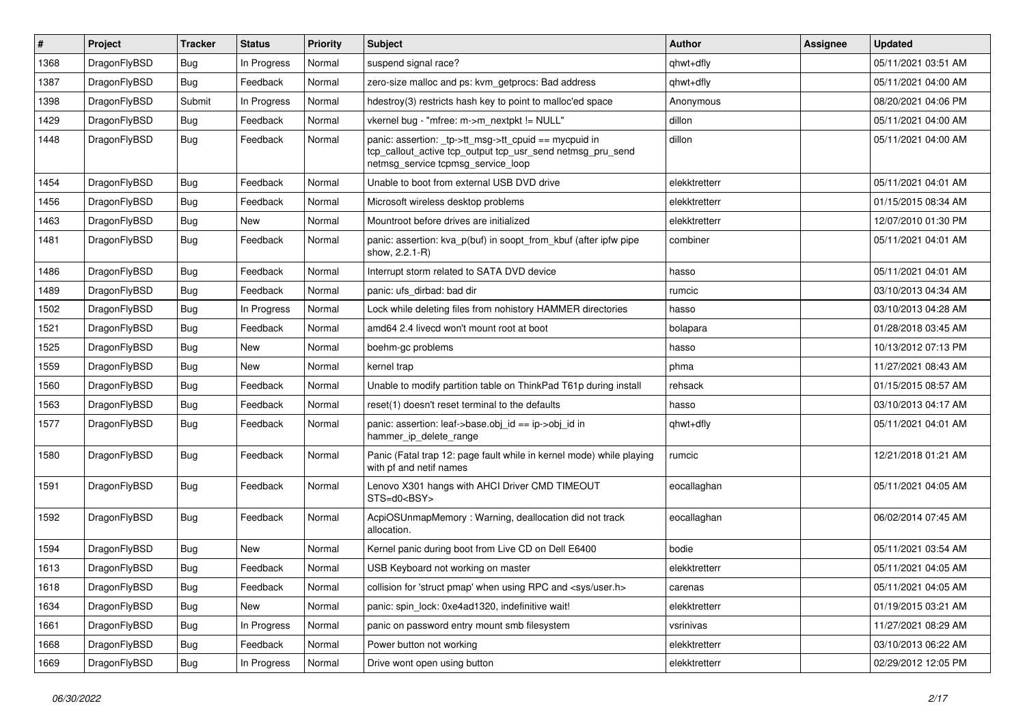| $\#$ | Project      | <b>Tracker</b> | <b>Status</b> | <b>Priority</b> | Subject                                                                                                                                                   | <b>Author</b> | Assignee | <b>Updated</b>      |
|------|--------------|----------------|---------------|-----------------|-----------------------------------------------------------------------------------------------------------------------------------------------------------|---------------|----------|---------------------|
| 1368 | DragonFlyBSD | <b>Bug</b>     | In Progress   | Normal          | suspend signal race?                                                                                                                                      | qhwt+dfly     |          | 05/11/2021 03:51 AM |
| 1387 | DragonFlyBSD | <b>Bug</b>     | Feedback      | Normal          | zero-size malloc and ps: kvm_getprocs: Bad address                                                                                                        | qhwt+dfly     |          | 05/11/2021 04:00 AM |
| 1398 | DragonFlyBSD | Submit         | In Progress   | Normal          | hdestroy(3) restricts hash key to point to malloc'ed space                                                                                                | Anonymous     |          | 08/20/2021 04:06 PM |
| 1429 | DragonFlyBSD | <b>Bug</b>     | Feedback      | Normal          | vkernel bug - "mfree: m->m_nextpkt != NULL"                                                                                                               | dillon        |          | 05/11/2021 04:00 AM |
| 1448 | DragonFlyBSD | Bug            | Feedback      | Normal          | panic: assertion: _tp->tt_msg->tt_cpuid == mycpuid in<br>tcp_callout_active tcp_output tcp_usr_send netmsg_pru_send<br>netmsg_service tcpmsg_service_loop | dillon        |          | 05/11/2021 04:00 AM |
| 1454 | DragonFlyBSD | <b>Bug</b>     | Feedback      | Normal          | Unable to boot from external USB DVD drive                                                                                                                | elekktretterr |          | 05/11/2021 04:01 AM |
| 1456 | DragonFlyBSD | <b>Bug</b>     | Feedback      | Normal          | Microsoft wireless desktop problems                                                                                                                       | elekktretterr |          | 01/15/2015 08:34 AM |
| 1463 | DragonFlyBSD | <b>Bug</b>     | New           | Normal          | Mountroot before drives are initialized                                                                                                                   | elekktretterr |          | 12/07/2010 01:30 PM |
| 1481 | DragonFlyBSD | <b>Bug</b>     | Feedback      | Normal          | panic: assertion: kva_p(buf) in soopt_from_kbuf (after ipfw pipe<br>show, 2.2.1-R)                                                                        | combiner      |          | 05/11/2021 04:01 AM |
| 1486 | DragonFlyBSD | Bug            | Feedback      | Normal          | Interrupt storm related to SATA DVD device                                                                                                                | hasso         |          | 05/11/2021 04:01 AM |
| 1489 | DragonFlyBSD | Bug            | Feedback      | Normal          | panic: ufs dirbad: bad dir                                                                                                                                | rumcic        |          | 03/10/2013 04:34 AM |
| 1502 | DragonFlyBSD | <b>Bug</b>     | In Progress   | Normal          | Lock while deleting files from nohistory HAMMER directories                                                                                               | hasso         |          | 03/10/2013 04:28 AM |
| 1521 | DragonFlyBSD | Bug            | Feedback      | Normal          | amd64 2.4 livecd won't mount root at boot                                                                                                                 | bolapara      |          | 01/28/2018 03:45 AM |
| 1525 | DragonFlyBSD | <b>Bug</b>     | New           | Normal          | boehm-gc problems                                                                                                                                         | hasso         |          | 10/13/2012 07:13 PM |
| 1559 | DragonFlyBSD | Bug            | New           | Normal          | kernel trap                                                                                                                                               | phma          |          | 11/27/2021 08:43 AM |
| 1560 | DragonFlyBSD | <b>Bug</b>     | Feedback      | Normal          | Unable to modify partition table on ThinkPad T61p during install                                                                                          | rehsack       |          | 01/15/2015 08:57 AM |
| 1563 | DragonFlyBSD | <b>Bug</b>     | Feedback      | Normal          | reset(1) doesn't reset terminal to the defaults                                                                                                           | hasso         |          | 03/10/2013 04:17 AM |
| 1577 | DragonFlyBSD | <b>Bug</b>     | Feedback      | Normal          | panic: assertion: leaf->base.obj_id == ip->obj_id in<br>hammer_ip_delete_range                                                                            | qhwt+dfly     |          | 05/11/2021 04:01 AM |
| 1580 | DragonFlyBSD | Bug            | Feedback      | Normal          | Panic (Fatal trap 12: page fault while in kernel mode) while playing<br>with pf and netif names                                                           | rumcic        |          | 12/21/2018 01:21 AM |
| 1591 | DragonFlyBSD | <b>Bug</b>     | Feedback      | Normal          | Lenovo X301 hangs with AHCI Driver CMD TIMEOUT<br>STS=d0 <bsy></bsy>                                                                                      | eocallaghan   |          | 05/11/2021 04:05 AM |
| 1592 | DragonFlyBSD | Bug            | Feedback      | Normal          | AcpiOSUnmapMemory: Warning, deallocation did not track<br>allocation.                                                                                     | eocallaghan   |          | 06/02/2014 07:45 AM |
| 1594 | DragonFlyBSD | Bug            | <b>New</b>    | Normal          | Kernel panic during boot from Live CD on Dell E6400                                                                                                       | bodie         |          | 05/11/2021 03:54 AM |
| 1613 | DragonFlyBSD | Bug            | Feedback      | Normal          | USB Keyboard not working on master                                                                                                                        | elekktretterr |          | 05/11/2021 04:05 AM |
| 1618 | DragonFlyBSD | <b>Bug</b>     | Feedback      | Normal          | collision for 'struct pmap' when using RPC and <sys user.h=""></sys>                                                                                      | carenas       |          | 05/11/2021 04:05 AM |
| 1634 | DragonFlyBSD | <b>Bug</b>     | New           | Normal          | panic: spin_lock: 0xe4ad1320, indefinitive wait!                                                                                                          | elekktretterr |          | 01/19/2015 03:21 AM |
| 1661 | DragonFlyBSD | <b>Bug</b>     | In Progress   | Normal          | panic on password entry mount smb filesystem                                                                                                              | vsrinivas     |          | 11/27/2021 08:29 AM |
| 1668 | DragonFlyBSD | <b>Bug</b>     | Feedback      | Normal          | Power button not working                                                                                                                                  | elekktretterr |          | 03/10/2013 06:22 AM |
| 1669 | DragonFlyBSD | <b>Bug</b>     | In Progress   | Normal          | Drive wont open using button                                                                                                                              | elekktretterr |          | 02/29/2012 12:05 PM |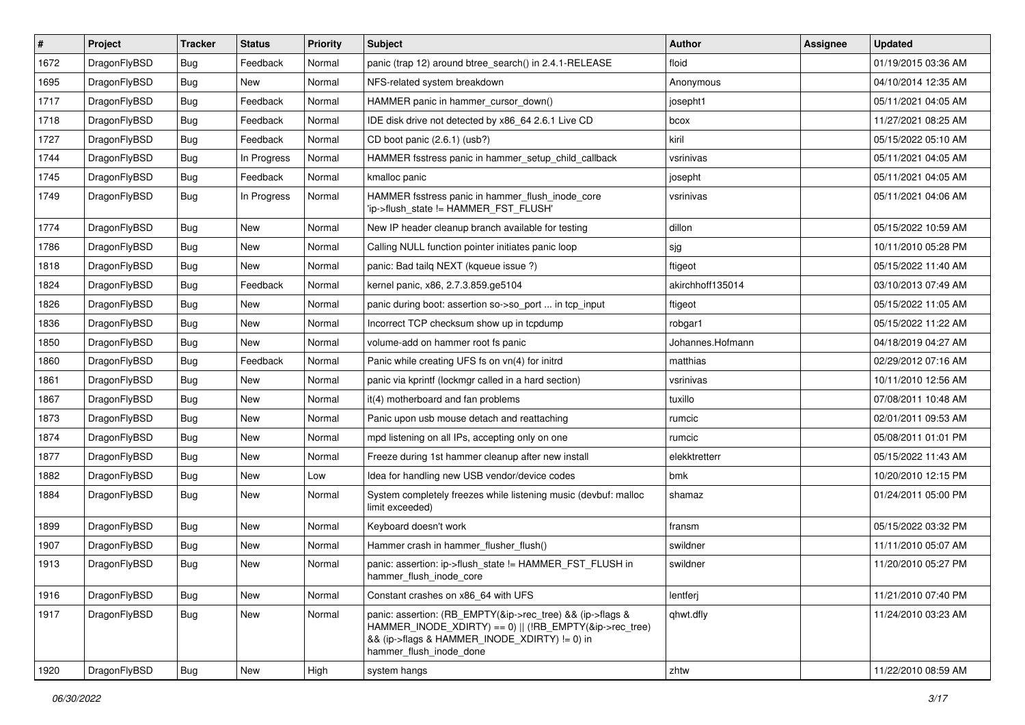| $\vert$ # | Project      | <b>Tracker</b> | <b>Status</b> | <b>Priority</b> | <b>Subject</b>                                                                                                                                                                                    | Author           | Assignee | <b>Updated</b>      |
|-----------|--------------|----------------|---------------|-----------------|---------------------------------------------------------------------------------------------------------------------------------------------------------------------------------------------------|------------------|----------|---------------------|
| 1672      | DragonFlyBSD | Bug            | Feedback      | Normal          | panic (trap 12) around btree_search() in 2.4.1-RELEASE                                                                                                                                            | floid            |          | 01/19/2015 03:36 AM |
| 1695      | DragonFlyBSD | <b>Bug</b>     | New           | Normal          | NFS-related system breakdown                                                                                                                                                                      | Anonymous        |          | 04/10/2014 12:35 AM |
| 1717      | DragonFlyBSD | <b>Bug</b>     | Feedback      | Normal          | HAMMER panic in hammer cursor down()                                                                                                                                                              | josepht1         |          | 05/11/2021 04:05 AM |
| 1718      | DragonFlyBSD | Bug            | Feedback      | Normal          | IDE disk drive not detected by x86_64 2.6.1 Live CD                                                                                                                                               | bcox             |          | 11/27/2021 08:25 AM |
| 1727      | DragonFlyBSD | Bug            | Feedback      | Normal          | CD boot panic (2.6.1) (usb?)                                                                                                                                                                      | kiril            |          | 05/15/2022 05:10 AM |
| 1744      | DragonFlyBSD | <b>Bug</b>     | In Progress   | Normal          | HAMMER fsstress panic in hammer setup child callback                                                                                                                                              | vsrinivas        |          | 05/11/2021 04:05 AM |
| 1745      | DragonFlyBSD | Bug            | Feedback      | Normal          | kmalloc panic                                                                                                                                                                                     | josepht          |          | 05/11/2021 04:05 AM |
| 1749      | DragonFlyBSD | Bug            | In Progress   | Normal          | HAMMER fsstress panic in hammer_flush_inode_core<br>'ip->flush state != HAMMER FST FLUSH'                                                                                                         | vsrinivas        |          | 05/11/2021 04:06 AM |
| 1774      | DragonFlyBSD | Bug            | <b>New</b>    | Normal          | New IP header cleanup branch available for testing                                                                                                                                                | dillon           |          | 05/15/2022 10:59 AM |
| 1786      | DragonFlyBSD | Bug            | <b>New</b>    | Normal          | Calling NULL function pointer initiates panic loop                                                                                                                                                | sjg              |          | 10/11/2010 05:28 PM |
| 1818      | DragonFlyBSD | Bug            | <b>New</b>    | Normal          | panic: Bad tailq NEXT (kqueue issue ?)                                                                                                                                                            | ftigeot          |          | 05/15/2022 11:40 AM |
| 1824      | DragonFlyBSD | Bug            | Feedback      | Normal          | kernel panic, x86, 2.7.3.859.ge5104                                                                                                                                                               | akirchhoff135014 |          | 03/10/2013 07:49 AM |
| 1826      | DragonFlyBSD | Bug            | <b>New</b>    | Normal          | panic during boot: assertion so->so_port  in tcp_input                                                                                                                                            | ftigeot          |          | 05/15/2022 11:05 AM |
| 1836      | DragonFlyBSD | <b>Bug</b>     | <b>New</b>    | Normal          | Incorrect TCP checksum show up in tcpdump                                                                                                                                                         | robgar1          |          | 05/15/2022 11:22 AM |
| 1850      | DragonFlyBSD | <b>Bug</b>     | <b>New</b>    | Normal          | volume-add on hammer root fs panic                                                                                                                                                                | Johannes.Hofmann |          | 04/18/2019 04:27 AM |
| 1860      | DragonFlyBSD | <b>Bug</b>     | Feedback      | Normal          | Panic while creating UFS fs on vn(4) for initrd                                                                                                                                                   | matthias         |          | 02/29/2012 07:16 AM |
| 1861      | DragonFlyBSD | Bug            | <b>New</b>    | Normal          | panic via kprintf (lockmgr called in a hard section)                                                                                                                                              | vsrinivas        |          | 10/11/2010 12:56 AM |
| 1867      | DragonFlyBSD | <b>Bug</b>     | <b>New</b>    | Normal          | it(4) motherboard and fan problems                                                                                                                                                                | tuxillo          |          | 07/08/2011 10:48 AM |
| 1873      | DragonFlyBSD | Bug            | <b>New</b>    | Normal          | Panic upon usb mouse detach and reattaching                                                                                                                                                       | rumcic           |          | 02/01/2011 09:53 AM |
| 1874      | DragonFlyBSD | <b>Bug</b>     | <b>New</b>    | Normal          | mpd listening on all IPs, accepting only on one                                                                                                                                                   | rumcic           |          | 05/08/2011 01:01 PM |
| 1877      | DragonFlyBSD | Bug            | <b>New</b>    | Normal          | Freeze during 1st hammer cleanup after new install                                                                                                                                                | elekktretterr    |          | 05/15/2022 11:43 AM |
| 1882      | DragonFlyBSD | Bug            | <b>New</b>    | Low             | Idea for handling new USB vendor/device codes                                                                                                                                                     | bmk              |          | 10/20/2010 12:15 PM |
| 1884      | DragonFlyBSD | Bug            | New           | Normal          | System completely freezes while listening music (devbuf: malloc<br>limit exceeded)                                                                                                                | shamaz           |          | 01/24/2011 05:00 PM |
| 1899      | DragonFlyBSD | <b>Bug</b>     | <b>New</b>    | Normal          | Keyboard doesn't work                                                                                                                                                                             | fransm           |          | 05/15/2022 03:32 PM |
| 1907      | DragonFlyBSD | Bug            | New           | Normal          | Hammer crash in hammer_flusher_flush()                                                                                                                                                            | swildner         |          | 11/11/2010 05:07 AM |
| 1913      | DragonFlyBSD | Bug            | <b>New</b>    | Normal          | panic: assertion: ip->flush_state != HAMMER_FST_FLUSH in<br>hammer_flush_inode_core                                                                                                               | swildner         |          | 11/20/2010 05:27 PM |
| 1916      | DragonFlyBSD | Bug            | <b>New</b>    | Normal          | Constant crashes on x86 64 with UFS                                                                                                                                                               | lentferj         |          | 11/21/2010 07:40 PM |
| 1917      | DragonFlyBSD | <b>Bug</b>     | New           | Normal          | panic: assertion: (RB_EMPTY(&ip->rec_tree) && (ip->flags &<br>HAMMER_INODE_XDIRTY) == 0)    (!RB_EMPTY(&ip->rec_tree)<br>&& (ip->flags & HAMMER_INODE_XDIRTY) != 0) in<br>hammer_flush_inode_done | qhwt.dfly        |          | 11/24/2010 03:23 AM |
| 1920      | DragonFlyBSD | Bug            | New           | High            | system hangs                                                                                                                                                                                      | zhtw             |          | 11/22/2010 08:59 AM |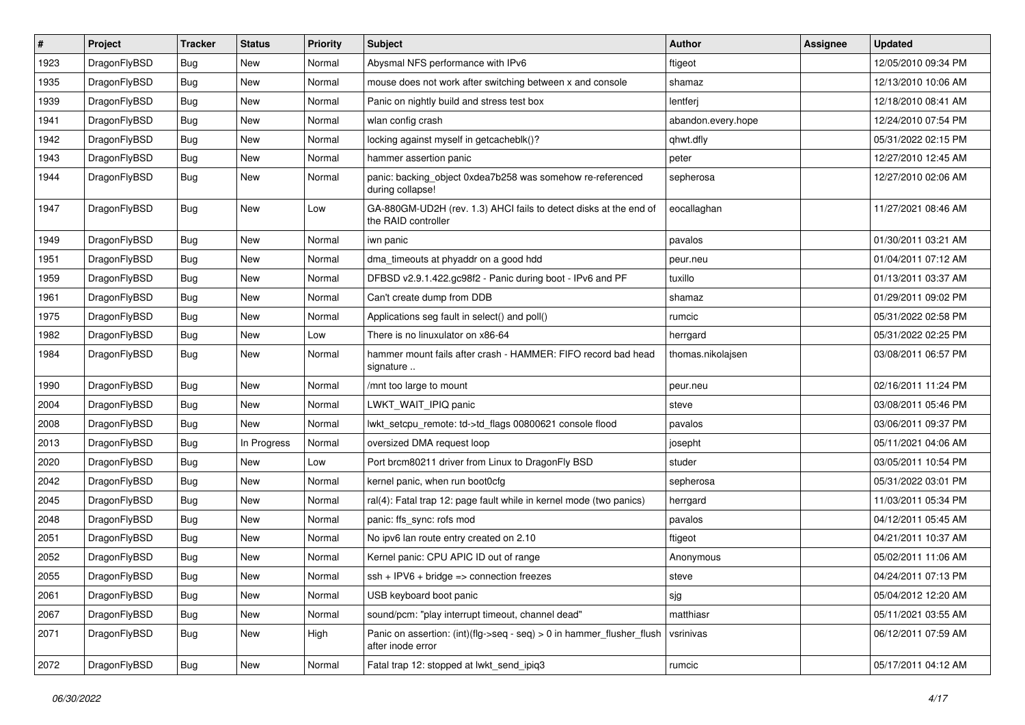| $\vert$ # | Project      | <b>Tracker</b> | <b>Status</b> | <b>Priority</b> | <b>Subject</b>                                                                             | Author             | <b>Assignee</b> | <b>Updated</b>      |
|-----------|--------------|----------------|---------------|-----------------|--------------------------------------------------------------------------------------------|--------------------|-----------------|---------------------|
| 1923      | DragonFlyBSD | <b>Bug</b>     | <b>New</b>    | Normal          | Abysmal NFS performance with IPv6                                                          | ftigeot            |                 | 12/05/2010 09:34 PM |
| 1935      | DragonFlyBSD | <b>Bug</b>     | <b>New</b>    | Normal          | mouse does not work after switching between x and console                                  | shamaz             |                 | 12/13/2010 10:06 AM |
| 1939      | DragonFlyBSD | <b>Bug</b>     | <b>New</b>    | Normal          | Panic on nightly build and stress test box                                                 | lentferj           |                 | 12/18/2010 08:41 AM |
| 1941      | DragonFlyBSD | <b>Bug</b>     | <b>New</b>    | Normal          | wlan config crash                                                                          | abandon.every.hope |                 | 12/24/2010 07:54 PM |
| 1942      | DragonFlyBSD | <b>Bug</b>     | <b>New</b>    | Normal          | locking against myself in getcacheblk()?                                                   | qhwt.dfly          |                 | 05/31/2022 02:15 PM |
| 1943      | DragonFlyBSD | <b>Bug</b>     | New           | Normal          | hammer assertion panic                                                                     | peter              |                 | 12/27/2010 12:45 AM |
| 1944      | DragonFlyBSD | Bug            | <b>New</b>    | Normal          | panic: backing_object 0xdea7b258 was somehow re-referenced<br>during collapse!             | sepherosa          |                 | 12/27/2010 02:06 AM |
| 1947      | DragonFlyBSD | Bug            | <b>New</b>    | Low             | GA-880GM-UD2H (rev. 1.3) AHCI fails to detect disks at the end of<br>the RAID controller   | eocallaghan        |                 | 11/27/2021 08:46 AM |
| 1949      | DragonFlyBSD | <b>Bug</b>     | <b>New</b>    | Normal          | iwn panic                                                                                  | pavalos            |                 | 01/30/2011 03:21 AM |
| 1951      | DragonFlyBSD | Bug            | New           | Normal          | dma_timeouts at phyaddr on a good hdd                                                      | peur.neu           |                 | 01/04/2011 07:12 AM |
| 1959      | DragonFlyBSD | <b>Bug</b>     | <b>New</b>    | Normal          | DFBSD v2.9.1.422.gc98f2 - Panic during boot - IPv6 and PF                                  | tuxillo            |                 | 01/13/2011 03:37 AM |
| 1961      | DragonFlyBSD | <b>Bug</b>     | <b>New</b>    | Normal          | Can't create dump from DDB                                                                 | shamaz             |                 | 01/29/2011 09:02 PM |
| 1975      | DragonFlyBSD | Bug            | <b>New</b>    | Normal          | Applications seg fault in select() and poll()                                              | rumcic             |                 | 05/31/2022 02:58 PM |
| 1982      | DragonFlyBSD | <b>Bug</b>     | <b>New</b>    | Low             | There is no linuxulator on x86-64                                                          | herrgard           |                 | 05/31/2022 02:25 PM |
| 1984      | DragonFlyBSD | Bug            | <b>New</b>    | Normal          | hammer mount fails after crash - HAMMER: FIFO record bad head<br>signature                 | thomas.nikolajsen  |                 | 03/08/2011 06:57 PM |
| 1990      | DragonFlyBSD | <b>Bug</b>     | <b>New</b>    | Normal          | /mnt too large to mount                                                                    | peur.neu           |                 | 02/16/2011 11:24 PM |
| 2004      | DragonFlyBSD | Bug            | <b>New</b>    | Normal          | LWKT WAIT IPIQ panic                                                                       | steve              |                 | 03/08/2011 05:46 PM |
| 2008      | DragonFlyBSD | <b>Bug</b>     | New           | Normal          | lwkt_setcpu_remote: td->td_flags 00800621 console flood                                    | pavalos            |                 | 03/06/2011 09:37 PM |
| 2013      | DragonFlyBSD | <b>Bug</b>     | In Progress   | Normal          | oversized DMA request loop                                                                 | josepht            |                 | 05/11/2021 04:06 AM |
| 2020      | DragonFlyBSD | <b>Bug</b>     | <b>New</b>    | Low             | Port brcm80211 driver from Linux to DragonFly BSD                                          | studer             |                 | 03/05/2011 10:54 PM |
| 2042      | DragonFlyBSD | <b>Bug</b>     | <b>New</b>    | Normal          | kernel panic, when run boot0cfg                                                            | sepherosa          |                 | 05/31/2022 03:01 PM |
| 2045      | DragonFlyBSD | Bug            | <b>New</b>    | Normal          | ral(4): Fatal trap 12: page fault while in kernel mode (two panics)                        | herrgard           |                 | 11/03/2011 05:34 PM |
| 2048      | DragonFlyBSD | Bug            | <b>New</b>    | Normal          | panic: ffs_sync: rofs mod                                                                  | pavalos            |                 | 04/12/2011 05:45 AM |
| 2051      | DragonFlyBSD | <b>Bug</b>     | New           | Normal          | No ipv6 lan route entry created on 2.10                                                    | ftigeot            |                 | 04/21/2011 10:37 AM |
| 2052      | DragonFlyBSD | Bug            | <b>New</b>    | Normal          | Kernel panic: CPU APIC ID out of range                                                     | Anonymous          |                 | 05/02/2011 11:06 AM |
| 2055      | DragonFlyBSD | Bug            | New           | Normal          | $ssh + IPV6 + bridge \Rightarrow$ connection freezes                                       | steve              |                 | 04/24/2011 07:13 PM |
| 2061      | DragonFlyBSD | Bug            | <b>New</b>    | Normal          | USB keyboard boot panic                                                                    | sjg                |                 | 05/04/2012 12:20 AM |
| 2067      | DragonFlyBSD | Bug            | New           | Normal          | sound/pcm: "play interrupt timeout, channel dead"                                          | matthiasr          |                 | 05/11/2021 03:55 AM |
| 2071      | DragonFlyBSD | <b>Bug</b>     | New           | High            | Panic on assertion: (int)(flg->seq - seq) > 0 in hammer_flusher_flush<br>after inode error | vsrinivas          |                 | 06/12/2011 07:59 AM |
| 2072      | DragonFlyBSD | <b>Bug</b>     | New           | Normal          | Fatal trap 12: stopped at lwkt_send_ipiq3                                                  | rumcic             |                 | 05/17/2011 04:12 AM |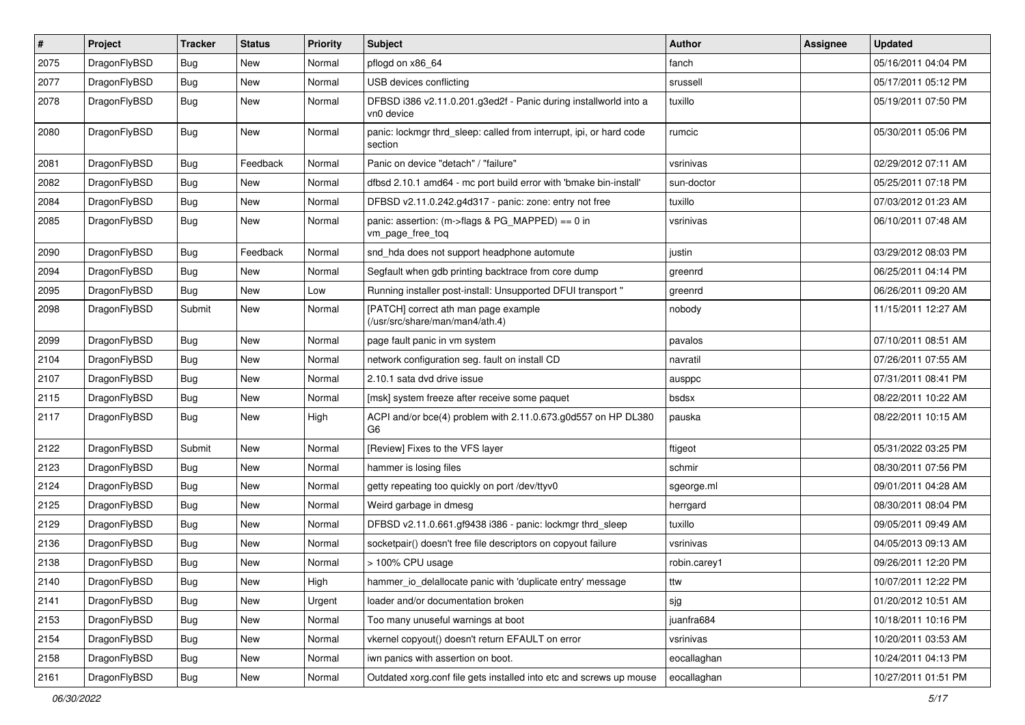| $\pmb{\#}$ | Project      | <b>Tracker</b> | <b>Status</b> | <b>Priority</b> | Subject                                                                         | <b>Author</b> | Assignee | <b>Updated</b>      |
|------------|--------------|----------------|---------------|-----------------|---------------------------------------------------------------------------------|---------------|----------|---------------------|
| 2075       | DragonFlyBSD | Bug            | <b>New</b>    | Normal          | pflogd on x86_64                                                                | fanch         |          | 05/16/2011 04:04 PM |
| 2077       | DragonFlyBSD | Bug            | <b>New</b>    | Normal          | USB devices conflicting                                                         | srussell      |          | 05/17/2011 05:12 PM |
| 2078       | DragonFlyBSD | Bug            | <b>New</b>    | Normal          | DFBSD i386 v2.11.0.201.g3ed2f - Panic during installworld into a<br>vn0 device  | tuxillo       |          | 05/19/2011 07:50 PM |
| 2080       | DragonFlyBSD | Bug            | New           | Normal          | panic: lockmgr thrd_sleep: called from interrupt, ipi, or hard code<br>section  | rumcic        |          | 05/30/2011 05:06 PM |
| 2081       | DragonFlyBSD | Bug            | Feedback      | Normal          | Panic on device "detach" / "failure"                                            | vsrinivas     |          | 02/29/2012 07:11 AM |
| 2082       | DragonFlyBSD | Bug            | <b>New</b>    | Normal          | dfbsd 2.10.1 amd64 - mc port build error with 'bmake bin-install'               | sun-doctor    |          | 05/25/2011 07:18 PM |
| 2084       | DragonFlyBSD | <b>Bug</b>     | New           | Normal          | DFBSD v2.11.0.242.g4d317 - panic: zone: entry not free                          | tuxillo       |          | 07/03/2012 01:23 AM |
| 2085       | DragonFlyBSD | Bug            | New           | Normal          | panic: assertion: (m->flags & PG_MAPPED) == 0 in<br>vm_page_free_toq            | vsrinivas     |          | 06/10/2011 07:48 AM |
| 2090       | DragonFlyBSD | Bug            | Feedback      | Normal          | snd_hda does not support headphone automute                                     | justin        |          | 03/29/2012 08:03 PM |
| 2094       | DragonFlyBSD | Bug            | <b>New</b>    | Normal          | Segfault when gdb printing backtrace from core dump                             | greenrd       |          | 06/25/2011 04:14 PM |
| 2095       | DragonFlyBSD | Bug            | New           | Low             | Running installer post-install: Unsupported DFUI transport "                    | greenrd       |          | 06/26/2011 09:20 AM |
| 2098       | DragonFlyBSD | Submit         | New           | Normal          | [PATCH] correct ath man page example<br>(/usr/src/share/man/man4/ath.4)         | nobody        |          | 11/15/2011 12:27 AM |
| 2099       | DragonFlyBSD | Bug            | <b>New</b>    | Normal          | page fault panic in vm system                                                   | pavalos       |          | 07/10/2011 08:51 AM |
| 2104       | DragonFlyBSD | Bug            | <b>New</b>    | Normal          | network configuration seg. fault on install CD                                  | navratil      |          | 07/26/2011 07:55 AM |
| 2107       | DragonFlyBSD | Bug            | <b>New</b>    | Normal          | 2.10.1 sata dvd drive issue                                                     | ausppc        |          | 07/31/2011 08:41 PM |
| 2115       | DragonFlyBSD | Bug            | New           | Normal          | [msk] system freeze after receive some paquet                                   | bsdsx         |          | 08/22/2011 10:22 AM |
| 2117       | DragonFlyBSD | Bug            | <b>New</b>    | High            | ACPI and/or bce(4) problem with 2.11.0.673.g0d557 on HP DL380<br>G <sub>6</sub> | pauska        |          | 08/22/2011 10:15 AM |
| 2122       | DragonFlyBSD | Submit         | <b>New</b>    | Normal          | [Review] Fixes to the VFS layer                                                 | ftigeot       |          | 05/31/2022 03:25 PM |
| 2123       | DragonFlyBSD | Bug            | <b>New</b>    | Normal          | hammer is losing files                                                          | schmir        |          | 08/30/2011 07:56 PM |
| 2124       | DragonFlyBSD | Bug            | <b>New</b>    | Normal          | getty repeating too quickly on port /dev/ttyv0                                  | sgeorge.ml    |          | 09/01/2011 04:28 AM |
| 2125       | DragonFlyBSD | Bug            | <b>New</b>    | Normal          | Weird garbage in dmesg                                                          | herrgard      |          | 08/30/2011 08:04 PM |
| 2129       | DragonFlyBSD | Bug            | <b>New</b>    | Normal          | DFBSD v2.11.0.661.gf9438 i386 - panic: lockmgr thrd_sleep                       | tuxillo       |          | 09/05/2011 09:49 AM |
| 2136       | DragonFlyBSD | Bug            | <b>New</b>    | Normal          | socketpair() doesn't free file descriptors on copyout failure                   | vsrinivas     |          | 04/05/2013 09:13 AM |
| 2138       | DragonFlyBSD | Bug            | <b>New</b>    | Normal          | > 100% CPU usage                                                                | robin.carey1  |          | 09/26/2011 12:20 PM |
| 2140       | DragonFlyBSD | Bug            | New           | High            | hammer_io_delallocate panic with 'duplicate entry' message                      | ttw           |          | 10/07/2011 12:22 PM |
| 2141       | DragonFlyBSD | Bug            | New           | Urgent          | loader and/or documentation broken                                              | sjg           |          | 01/20/2012 10:51 AM |
| 2153       | DragonFlyBSD | <b>Bug</b>     | New           | Normal          | Too many unuseful warnings at boot                                              | juanfra684    |          | 10/18/2011 10:16 PM |
| 2154       | DragonFlyBSD | Bug            | New           | Normal          | vkernel copyout() doesn't return EFAULT on error                                | vsrinivas     |          | 10/20/2011 03:53 AM |
| 2158       | DragonFlyBSD | <b>Bug</b>     | New           | Normal          | iwn panics with assertion on boot.                                              | eocallaghan   |          | 10/24/2011 04:13 PM |
| 2161       | DragonFlyBSD | Bug            | New           | Normal          | Outdated xorg.conf file gets installed into etc and screws up mouse             | eocallaghan   |          | 10/27/2011 01:51 PM |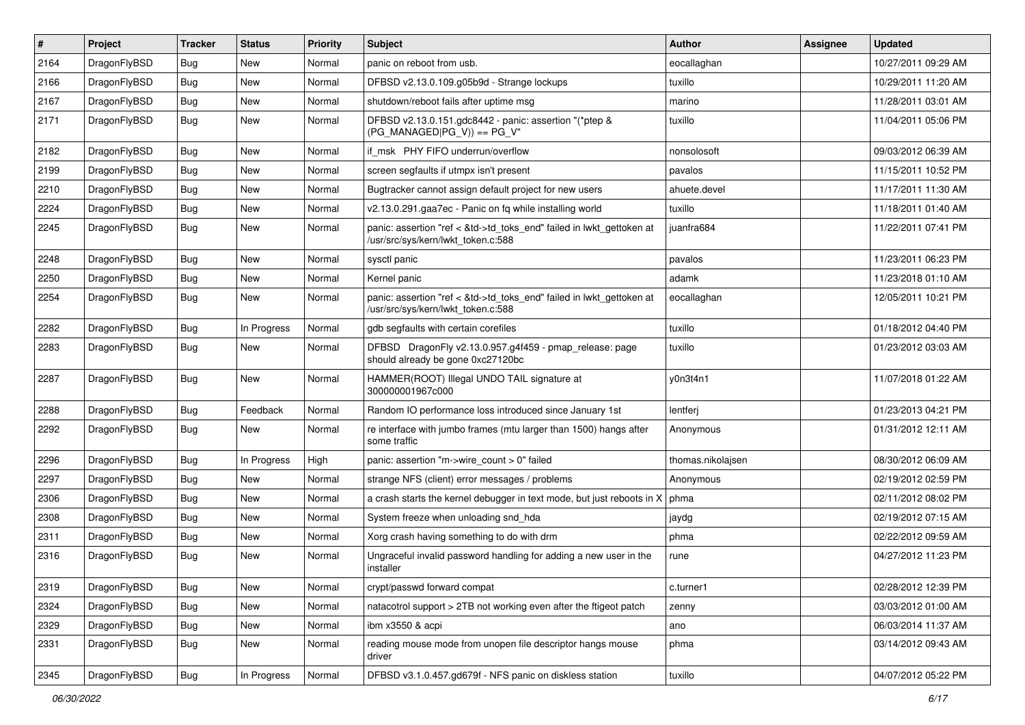| $\vert$ # | Project      | <b>Tracker</b> | <b>Status</b> | <b>Priority</b> | <b>Subject</b>                                                                                             | Author            | Assignee | <b>Updated</b>      |
|-----------|--------------|----------------|---------------|-----------------|------------------------------------------------------------------------------------------------------------|-------------------|----------|---------------------|
| 2164      | DragonFlyBSD | Bug            | <b>New</b>    | Normal          | panic on reboot from usb.                                                                                  | eocallaghan       |          | 10/27/2011 09:29 AM |
| 2166      | DragonFlyBSD | <b>Bug</b>     | <b>New</b>    | Normal          | DFBSD v2.13.0.109.g05b9d - Strange lockups                                                                 | tuxillo           |          | 10/29/2011 11:20 AM |
| 2167      | DragonFlyBSD | <b>Bug</b>     | <b>New</b>    | Normal          | shutdown/reboot fails after uptime msg                                                                     | marino            |          | 11/28/2011 03:01 AM |
| 2171      | DragonFlyBSD | Bug            | New           | Normal          | DFBSD v2.13.0.151.gdc8442 - panic: assertion "(*ptep &<br>$(PG_MANAGED PG_V)$ == PG_V"                     | tuxillo           |          | 11/04/2011 05:06 PM |
| 2182      | DragonFlyBSD | <b>Bug</b>     | New           | Normal          | if msk PHY FIFO underrun/overflow                                                                          | nonsolosoft       |          | 09/03/2012 06:39 AM |
| 2199      | DragonFlyBSD | Bug            | <b>New</b>    | Normal          | screen segfaults if utmpx isn't present                                                                    | pavalos           |          | 11/15/2011 10:52 PM |
| 2210      | DragonFlyBSD | <b>Bug</b>     | <b>New</b>    | Normal          | Bugtracker cannot assign default project for new users                                                     | ahuete.devel      |          | 11/17/2011 11:30 AM |
| 2224      | DragonFlyBSD | <b>Bug</b>     | <b>New</b>    | Normal          | v2.13.0.291.gaa7ec - Panic on fq while installing world                                                    | tuxillo           |          | 11/18/2011 01:40 AM |
| 2245      | DragonFlyBSD | Bug            | <b>New</b>    | Normal          | panic: assertion "ref < &td->td_toks_end" failed in lwkt_gettoken at<br>/usr/src/sys/kern/lwkt_token.c:588 | juanfra684        |          | 11/22/2011 07:41 PM |
| 2248      | DragonFlyBSD | Bug            | <b>New</b>    | Normal          | sysctl panic                                                                                               | pavalos           |          | 11/23/2011 06:23 PM |
| 2250      | DragonFlyBSD | <b>Bug</b>     | <b>New</b>    | Normal          | Kernel panic                                                                                               | adamk             |          | 11/23/2018 01:10 AM |
| 2254      | DragonFlyBSD | Bug            | New           | Normal          | panic: assertion "ref < &td->td_toks_end" failed in lwkt_gettoken at<br>/usr/src/sys/kern/lwkt_token.c:588 | eocallaghan       |          | 12/05/2011 10:21 PM |
| 2282      | DragonFlyBSD | <b>Bug</b>     | In Progress   | Normal          | gdb segfaults with certain corefiles                                                                       | tuxillo           |          | 01/18/2012 04:40 PM |
| 2283      | DragonFlyBSD | Bug            | <b>New</b>    | Normal          | DFBSD DragonFly v2.13.0.957.g4f459 - pmap_release: page<br>should already be gone 0xc27120bc               | tuxillo           |          | 01/23/2012 03:03 AM |
| 2287      | DragonFlyBSD | <b>Bug</b>     | <b>New</b>    | Normal          | HAMMER(ROOT) Illegal UNDO TAIL signature at<br>300000001967c000                                            | y0n3t4n1          |          | 11/07/2018 01:22 AM |
| 2288      | DragonFlyBSD | <b>Bug</b>     | Feedback      | Normal          | Random IO performance loss introduced since January 1st                                                    | lentferj          |          | 01/23/2013 04:21 PM |
| 2292      | DragonFlyBSD | <b>Bug</b>     | New           | Normal          | re interface with jumbo frames (mtu larger than 1500) hangs after<br>some traffic                          | Anonymous         |          | 01/31/2012 12:11 AM |
| 2296      | DragonFlyBSD | <b>Bug</b>     | In Progress   | High            | panic: assertion "m->wire count > 0" failed                                                                | thomas.nikolajsen |          | 08/30/2012 06:09 AM |
| 2297      | DragonFlyBSD | Bug            | <b>New</b>    | Normal          | strange NFS (client) error messages / problems                                                             | Anonymous         |          | 02/19/2012 02:59 PM |
| 2306      | DragonFlyBSD | <b>Bug</b>     | <b>New</b>    | Normal          | a crash starts the kernel debugger in text mode, but just reboots in X                                     | phma              |          | 02/11/2012 08:02 PM |
| 2308      | DragonFlyBSD | <b>Bug</b>     | <b>New</b>    | Normal          | System freeze when unloading snd_hda                                                                       | jaydg             |          | 02/19/2012 07:15 AM |
| 2311      | DragonFlyBSD | Bug            | <b>New</b>    | Normal          | Xorg crash having something to do with drm                                                                 | phma              |          | 02/22/2012 09:59 AM |
| 2316      | DragonFlyBSD | <b>Bug</b>     | <b>New</b>    | Normal          | Ungraceful invalid password handling for adding a new user in the<br>installer                             | rune              |          | 04/27/2012 11:23 PM |
| 2319      | DragonFlyBSD | <b>Bug</b>     | New           | Normal          | crypt/passwd forward compat                                                                                | c.turner1         |          | 02/28/2012 12:39 PM |
| 2324      | DragonFlyBSD | <b>Bug</b>     | New           | Normal          | natacotrol support > 2TB not working even after the ftigeot patch                                          | zenny             |          | 03/03/2012 01:00 AM |
| 2329      | DragonFlyBSD | <b>Bug</b>     | New           | Normal          | ibm x3550 & acpi                                                                                           | ano               |          | 06/03/2014 11:37 AM |
| 2331      | DragonFlyBSD | Bug            | New           | Normal          | reading mouse mode from unopen file descriptor hangs mouse<br>driver                                       | phma              |          | 03/14/2012 09:43 AM |
| 2345      | DragonFlyBSD | <b>Bug</b>     | In Progress   | Normal          | DFBSD v3.1.0.457.gd679f - NFS panic on diskless station                                                    | tuxillo           |          | 04/07/2012 05:22 PM |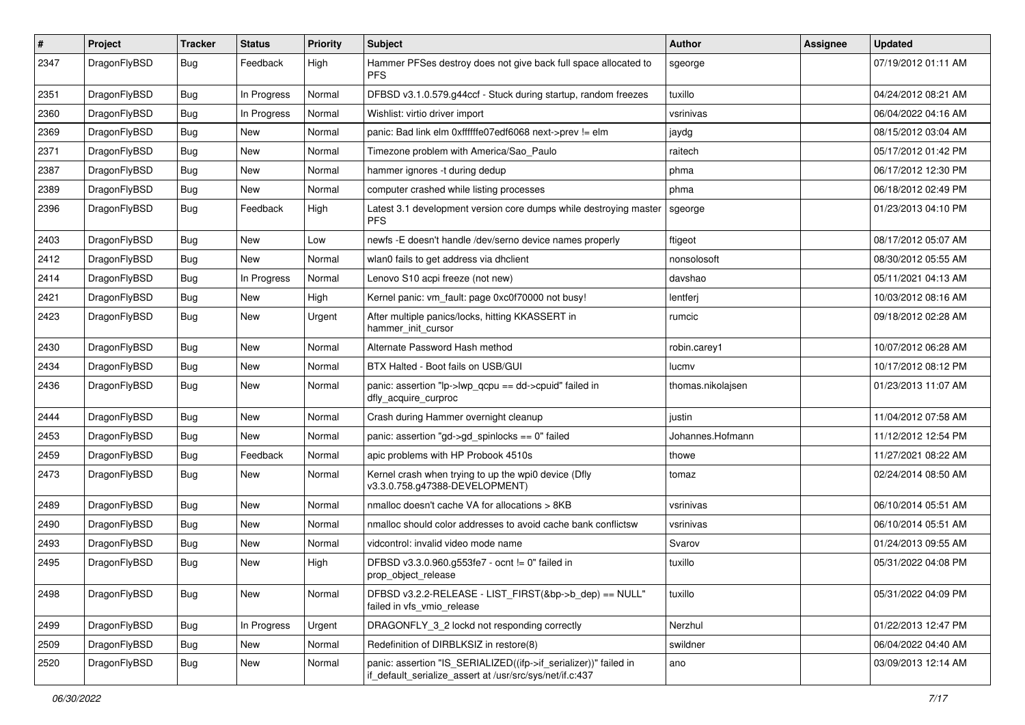| $\pmb{\#}$ | Project      | <b>Tracker</b> | <b>Status</b> | <b>Priority</b> | Subject                                                                                                                      | Author            | Assignee | <b>Updated</b>      |
|------------|--------------|----------------|---------------|-----------------|------------------------------------------------------------------------------------------------------------------------------|-------------------|----------|---------------------|
| 2347       | DragonFlyBSD | Bug            | Feedback      | High            | Hammer PFSes destroy does not give back full space allocated to<br><b>PFS</b>                                                | sgeorge           |          | 07/19/2012 01:11 AM |
| 2351       | DragonFlyBSD | <b>Bug</b>     | In Progress   | Normal          | DFBSD v3.1.0.579.g44ccf - Stuck during startup, random freezes                                                               | tuxillo           |          | 04/24/2012 08:21 AM |
| 2360       | DragonFlyBSD | Bug            | In Progress   | Normal          | Wishlist: virtio driver import                                                                                               | vsrinivas         |          | 06/04/2022 04:16 AM |
| 2369       | DragonFlyBSD | Bug            | <b>New</b>    | Normal          | panic: Bad link elm 0xffffffe07edf6068 next->prev != elm                                                                     | jaydg             |          | 08/15/2012 03:04 AM |
| 2371       | DragonFlyBSD | <b>Bug</b>     | New           | Normal          | Timezone problem with America/Sao Paulo                                                                                      | raitech           |          | 05/17/2012 01:42 PM |
| 2387       | DragonFlyBSD | Bug            | <b>New</b>    | Normal          | hammer ignores -t during dedup                                                                                               | phma              |          | 06/17/2012 12:30 PM |
| 2389       | DragonFlyBSD | Bug            | New           | Normal          | computer crashed while listing processes                                                                                     | phma              |          | 06/18/2012 02:49 PM |
| 2396       | DragonFlyBSD | Bug            | Feedback      | High            | Latest 3.1 development version core dumps while destroying master<br><b>PFS</b>                                              | sgeorge           |          | 01/23/2013 04:10 PM |
| 2403       | DragonFlyBSD | <b>Bug</b>     | <b>New</b>    | Low             | newfs - E doesn't handle /dev/serno device names properly                                                                    | ftigeot           |          | 08/17/2012 05:07 AM |
| 2412       | DragonFlyBSD | Bug            | <b>New</b>    | Normal          | wlan0 fails to get address via dhclient                                                                                      | nonsolosoft       |          | 08/30/2012 05:55 AM |
| 2414       | DragonFlyBSD | <b>Bug</b>     | In Progress   | Normal          | Lenovo S10 acpi freeze (not new)                                                                                             | davshao           |          | 05/11/2021 04:13 AM |
| 2421       | DragonFlyBSD | Bug            | New           | High            | Kernel panic: vm_fault: page 0xc0f70000 not busy!                                                                            | lentferj          |          | 10/03/2012 08:16 AM |
| 2423       | DragonFlyBSD | Bug            | New           | Urgent          | After multiple panics/locks, hitting KKASSERT in<br>hammer_init_cursor                                                       | rumcic            |          | 09/18/2012 02:28 AM |
| 2430       | DragonFlyBSD | Bug            | <b>New</b>    | Normal          | Alternate Password Hash method                                                                                               | robin.carey1      |          | 10/07/2012 06:28 AM |
| 2434       | DragonFlyBSD | Bug            | <b>New</b>    | Normal          | BTX Halted - Boot fails on USB/GUI                                                                                           | lucmv             |          | 10/17/2012 08:12 PM |
| 2436       | DragonFlyBSD | Bug            | New           | Normal          | panic: assertion "lp->lwp_qcpu == dd->cpuid" failed in<br>dfly_acquire_curproc                                               | thomas.nikolajsen |          | 01/23/2013 11:07 AM |
| 2444       | DragonFlyBSD | <b>Bug</b>     | New           | Normal          | Crash during Hammer overnight cleanup                                                                                        | justin            |          | 11/04/2012 07:58 AM |
| 2453       | DragonFlyBSD | Bug            | New           | Normal          | panic: assertion "gd->gd_spinlocks == 0" failed                                                                              | Johannes.Hofmann  |          | 11/12/2012 12:54 PM |
| 2459       | DragonFlyBSD | Bug            | Feedback      | Normal          | apic problems with HP Probook 4510s                                                                                          | thowe             |          | 11/27/2021 08:22 AM |
| 2473       | DragonFlyBSD | Bug            | New           | Normal          | Kernel crash when trying to up the wpi0 device (Dfly<br>v3.3.0.758.g47388-DEVELOPMENT)                                       | tomaz             |          | 02/24/2014 08:50 AM |
| 2489       | DragonFlyBSD | Bug            | <b>New</b>    | Normal          | nmalloc doesn't cache VA for allocations > 8KB                                                                               | vsrinivas         |          | 06/10/2014 05:51 AM |
| 2490       | DragonFlyBSD | Bug            | New           | Normal          | nmalloc should color addresses to avoid cache bank conflictsw                                                                | vsrinivas         |          | 06/10/2014 05:51 AM |
| 2493       | DragonFlyBSD | Bug            | New           | Normal          | vidcontrol: invalid video mode name                                                                                          | Svarov            |          | 01/24/2013 09:55 AM |
| 2495       | DragonFlyBSD | Bug            | New           | High            | DFBSD v3.3.0.960.g553fe7 - ocnt != 0" failed in<br>prop_object_release                                                       | tuxillo           |          | 05/31/2022 04:08 PM |
| 2498       | DragonFlyBSD | Bug            | New           | Normal          | DFBSD v3.2.2-RELEASE - LIST_FIRST(&bp->b_dep) == NULL"<br>failed in vfs vmio release                                         | tuxillo           |          | 05/31/2022 04:09 PM |
| 2499       | DragonFlyBSD | Bug            | In Progress   | Urgent          | DRAGONFLY_3_2 lockd not responding correctly                                                                                 | Nerzhul           |          | 01/22/2013 12:47 PM |
| 2509       | DragonFlyBSD | Bug            | New           | Normal          | Redefinition of DIRBLKSIZ in restore(8)                                                                                      | swildner          |          | 06/04/2022 04:40 AM |
| 2520       | DragonFlyBSD | Bug            | New           | Normal          | panic: assertion "IS_SERIALIZED((ifp->if_serializer))" failed in<br>if default serialize assert at /usr/src/sys/net/if.c:437 | ano               |          | 03/09/2013 12:14 AM |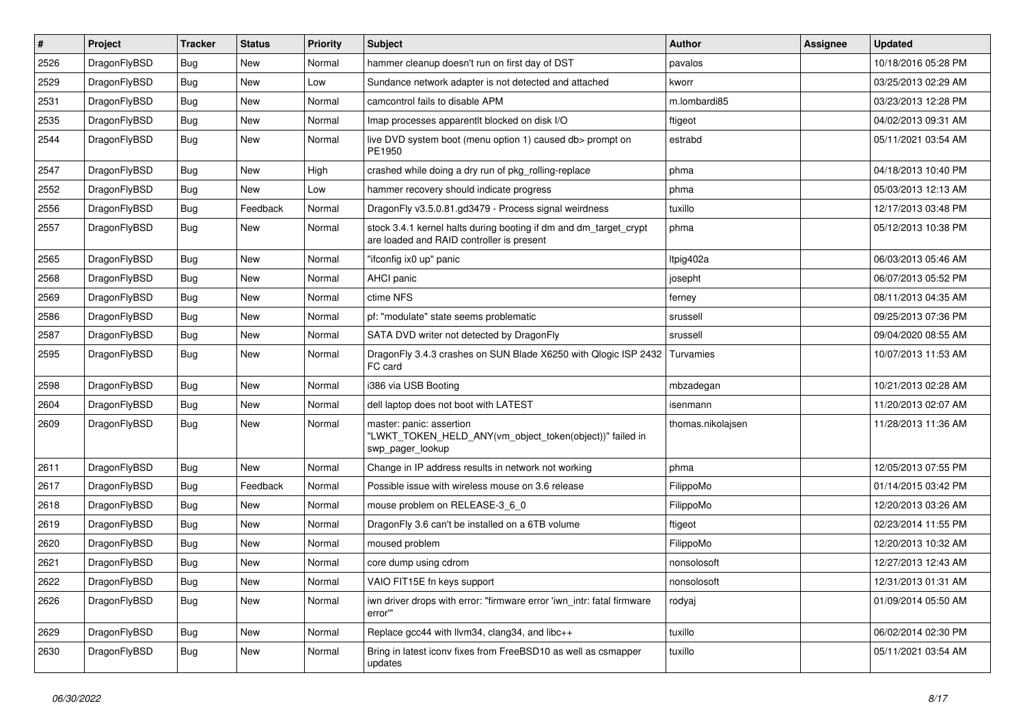| $\sharp$ | Project      | <b>Tracker</b> | <b>Status</b> | <b>Priority</b> | Subject                                                                                                        | Author            | Assignee | <b>Updated</b>      |
|----------|--------------|----------------|---------------|-----------------|----------------------------------------------------------------------------------------------------------------|-------------------|----------|---------------------|
| 2526     | DragonFlyBSD | <b>Bug</b>     | <b>New</b>    | Normal          | hammer cleanup doesn't run on first day of DST                                                                 | pavalos           |          | 10/18/2016 05:28 PM |
| 2529     | DragonFlyBSD | <b>Bug</b>     | <b>New</b>    | Low             | Sundance network adapter is not detected and attached                                                          | kworr             |          | 03/25/2013 02:29 AM |
| 2531     | DragonFlyBSD | <b>Bug</b>     | New           | Normal          | camcontrol fails to disable APM                                                                                | m.lombardi85      |          | 03/23/2013 12:28 PM |
| 2535     | DragonFlyBSD | <b>Bug</b>     | New           | Normal          | Imap processes apparentlt blocked on disk I/O                                                                  | ftigeot           |          | 04/02/2013 09:31 AM |
| 2544     | DragonFlyBSD | Bug            | <b>New</b>    | Normal          | live DVD system boot (menu option 1) caused db> prompt on<br>PE1950                                            | estrabd           |          | 05/11/2021 03:54 AM |
| 2547     | DragonFlyBSD | Bug            | New           | High            | crashed while doing a dry run of pkg_rolling-replace                                                           | phma              |          | 04/18/2013 10:40 PM |
| 2552     | DragonFlyBSD | <b>Bug</b>     | New           | Low             | hammer recovery should indicate progress                                                                       | phma              |          | 05/03/2013 12:13 AM |
| 2556     | DragonFlyBSD | <b>Bug</b>     | Feedback      | Normal          | DragonFly v3.5.0.81.gd3479 - Process signal weirdness                                                          | tuxillo           |          | 12/17/2013 03:48 PM |
| 2557     | DragonFlyBSD | <b>Bug</b>     | New           | Normal          | stock 3.4.1 kernel halts during booting if dm and dm_target_crypt<br>are loaded and RAID controller is present | phma              |          | 05/12/2013 10:38 PM |
| 2565     | DragonFlyBSD | <b>Bug</b>     | <b>New</b>    | Normal          | "ifconfig ix0 up" panic                                                                                        | Itpig402a         |          | 06/03/2013 05:46 AM |
| 2568     | DragonFlyBSD | <b>Bug</b>     | New           | Normal          | AHCI panic                                                                                                     | josepht           |          | 06/07/2013 05:52 PM |
| 2569     | DragonFlyBSD | <b>Bug</b>     | New           | Normal          | ctime NFS                                                                                                      | ferney            |          | 08/11/2013 04:35 AM |
| 2586     | DragonFlyBSD | <b>Bug</b>     | New           | Normal          | pf: "modulate" state seems problematic                                                                         | srussell          |          | 09/25/2013 07:36 PM |
| 2587     | DragonFlyBSD | <b>Bug</b>     | New           | Normal          | SATA DVD writer not detected by DragonFly                                                                      | srussell          |          | 09/04/2020 08:55 AM |
| 2595     | DragonFlyBSD | <b>Bug</b>     | <b>New</b>    | Normal          | DragonFly 3.4.3 crashes on SUN Blade X6250 with Qlogic ISP 2432<br>FC card                                     | Turvamies         |          | 10/07/2013 11:53 AM |
| 2598     | DragonFlyBSD | <b>Bug</b>     | New           | Normal          | i386 via USB Booting                                                                                           | mbzadegan         |          | 10/21/2013 02:28 AM |
| 2604     | DragonFlyBSD | <b>Bug</b>     | New           | Normal          | dell laptop does not boot with LATEST                                                                          | isenmann          |          | 11/20/2013 02:07 AM |
| 2609     | DragonFlyBSD | <b>Bug</b>     | New           | Normal          | master: panic: assertion<br>"LWKT_TOKEN_HELD_ANY(vm_object_token(object))" failed in<br>swp_pager_lookup       | thomas.nikolajsen |          | 11/28/2013 11:36 AM |
| 2611     | DragonFlyBSD | <b>Bug</b>     | <b>New</b>    | Normal          | Change in IP address results in network not working                                                            | phma              |          | 12/05/2013 07:55 PM |
| 2617     | DragonFlyBSD | <b>Bug</b>     | Feedback      | Normal          | Possible issue with wireless mouse on 3.6 release                                                              | FilippoMo         |          | 01/14/2015 03:42 PM |
| 2618     | DragonFlyBSD | <b>Bug</b>     | <b>New</b>    | Normal          | mouse problem on RELEASE-3 6 0                                                                                 | FilippoMo         |          | 12/20/2013 03:26 AM |
| 2619     | DragonFlyBSD | <b>Bug</b>     | New           | Normal          | DragonFly 3.6 can't be installed on a 6TB volume                                                               | ftigeot           |          | 02/23/2014 11:55 PM |
| 2620     | DragonFlyBSD | <b>Bug</b>     | New           | Normal          | moused problem                                                                                                 | FilippoMo         |          | 12/20/2013 10:32 AM |
| 2621     | DragonFlyBSD | <b>Bug</b>     | <b>New</b>    | Normal          | core dump using cdrom                                                                                          | nonsolosoft       |          | 12/27/2013 12:43 AM |
| 2622     | DragonFlyBSD | <b>Bug</b>     | New           | Normal          | VAIO FIT15E fn keys support                                                                                    | nonsolosoft       |          | 12/31/2013 01:31 AM |
| 2626     | DragonFlyBSD | <b>Bug</b>     | New           | Normal          | iwn driver drops with error: "firmware error 'iwn_intr: fatal firmware<br>error""                              | rodyaj            |          | 01/09/2014 05:50 AM |
| 2629     | DragonFlyBSD | <b>Bug</b>     | New           | Normal          | Replace gcc44 with llvm34, clang34, and libc++                                                                 | tuxillo           |          | 06/02/2014 02:30 PM |
| 2630     | DragonFlyBSD | <b>Bug</b>     | New           | Normal          | Bring in latest iconv fixes from FreeBSD10 as well as csmapper<br>updates                                      | tuxillo           |          | 05/11/2021 03:54 AM |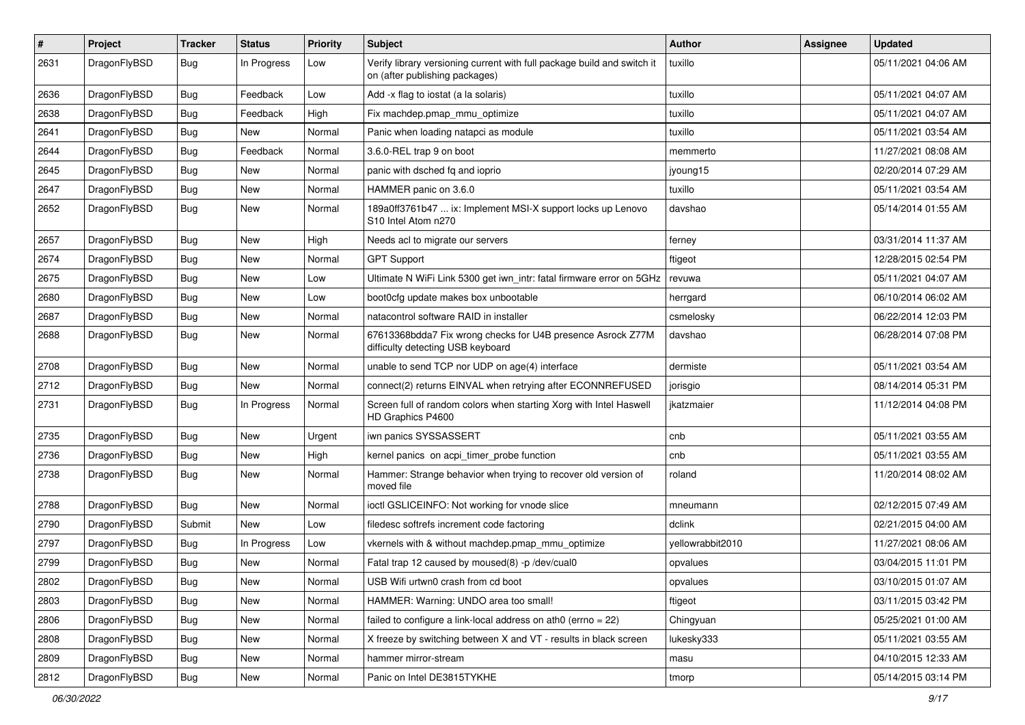| $\pmb{\#}$ | Project      | <b>Tracker</b> | <b>Status</b> | <b>Priority</b> | Subject                                                                                                   | Author           | Assignee | <b>Updated</b>      |
|------------|--------------|----------------|---------------|-----------------|-----------------------------------------------------------------------------------------------------------|------------------|----------|---------------------|
| 2631       | DragonFlyBSD | Bug            | In Progress   | Low             | Verify library versioning current with full package build and switch it<br>on (after publishing packages) | tuxillo          |          | 05/11/2021 04:06 AM |
| 2636       | DragonFlyBSD | <b>Bug</b>     | Feedback      | Low             | Add -x flag to iostat (a la solaris)                                                                      | tuxillo          |          | 05/11/2021 04:07 AM |
| 2638       | DragonFlyBSD | Bug            | Feedback      | High            | Fix machdep.pmap_mmu_optimize                                                                             | tuxillo          |          | 05/11/2021 04:07 AM |
| 2641       | DragonFlyBSD | Bug            | <b>New</b>    | Normal          | Panic when loading natapci as module                                                                      | tuxillo          |          | 05/11/2021 03:54 AM |
| 2644       | DragonFlyBSD | <b>Bug</b>     | Feedback      | Normal          | 3.6.0-REL trap 9 on boot                                                                                  | memmerto         |          | 11/27/2021 08:08 AM |
| 2645       | DragonFlyBSD | Bug            | New           | Normal          | panic with dsched fq and ioprio                                                                           | jyoung15         |          | 02/20/2014 07:29 AM |
| 2647       | DragonFlyBSD | Bug            | New           | Normal          | HAMMER panic on 3.6.0                                                                                     | tuxillo          |          | 05/11/2021 03:54 AM |
| 2652       | DragonFlyBSD | Bug            | New           | Normal          | 189a0ff3761b47  ix: Implement MSI-X support locks up Lenovo<br>S10 Intel Atom n270                        | davshao          |          | 05/14/2014 01:55 AM |
| 2657       | DragonFlyBSD | <b>Bug</b>     | <b>New</b>    | High            | Needs acl to migrate our servers                                                                          | ferney           |          | 03/31/2014 11:37 AM |
| 2674       | DragonFlyBSD | Bug            | New           | Normal          | <b>GPT Support</b>                                                                                        | ftigeot          |          | 12/28/2015 02:54 PM |
| 2675       | DragonFlyBSD | <b>Bug</b>     | <b>New</b>    | Low             | Ultimate N WiFi Link 5300 get iwn_intr: fatal firmware error on 5GHz                                      | revuwa           |          | 05/11/2021 04:07 AM |
| 2680       | DragonFlyBSD | <b>Bug</b>     | <b>New</b>    | Low             | boot0cfg update makes box unbootable                                                                      | herrgard         |          | 06/10/2014 06:02 AM |
| 2687       | DragonFlyBSD | Bug            | New           | Normal          | natacontrol software RAID in installer                                                                    | csmelosky        |          | 06/22/2014 12:03 PM |
| 2688       | DragonFlyBSD | Bug            | New           | Normal          | 67613368bdda7 Fix wrong checks for U4B presence Asrock Z77M<br>difficulty detecting USB keyboard          | davshao          |          | 06/28/2014 07:08 PM |
| 2708       | DragonFlyBSD | Bug            | <b>New</b>    | Normal          | unable to send TCP nor UDP on age(4) interface                                                            | dermiste         |          | 05/11/2021 03:54 AM |
| 2712       | DragonFlyBSD | Bug            | New           | Normal          | connect(2) returns EINVAL when retrying after ECONNREFUSED                                                | jorisgio         |          | 08/14/2014 05:31 PM |
| 2731       | DragonFlyBSD | Bug            | In Progress   | Normal          | Screen full of random colors when starting Xorg with Intel Haswell<br>HD Graphics P4600                   | jkatzmaier       |          | 11/12/2014 04:08 PM |
| 2735       | DragonFlyBSD | <b>Bug</b>     | New           | Urgent          | iwn panics SYSSASSERT                                                                                     | cnb              |          | 05/11/2021 03:55 AM |
| 2736       | DragonFlyBSD | Bug            | New           | High            | kernel panics on acpi_timer_probe function                                                                | cnb              |          | 05/11/2021 03:55 AM |
| 2738       | DragonFlyBSD | Bug            | New           | Normal          | Hammer: Strange behavior when trying to recover old version of<br>moved file                              | roland           |          | 11/20/2014 08:02 AM |
| 2788       | DragonFlyBSD | Bug            | <b>New</b>    | Normal          | ioctl GSLICEINFO: Not working for vnode slice                                                             | mneumann         |          | 02/12/2015 07:49 AM |
| 2790       | DragonFlyBSD | Submit         | New           | Low             | filedesc softrefs increment code factoring                                                                | dclink           |          | 02/21/2015 04:00 AM |
| 2797       | DragonFlyBSD | Bug            | In Progress   | Low             | vkernels with & without machdep.pmap_mmu_optimize                                                         | yellowrabbit2010 |          | 11/27/2021 08:06 AM |
| 2799       | DragonFlyBSD | Bug            | New           | Normal          | Fatal trap 12 caused by moused(8) -p /dev/cual0                                                           | opvalues         |          | 03/04/2015 11:01 PM |
| 2802       | DragonFlyBSD | <b>Bug</b>     | New           | Normal          | USB Wifi urtwn0 crash from cd boot                                                                        | opvalues         |          | 03/10/2015 01:07 AM |
| 2803       | DragonFlyBSD | Bug            | New           | Normal          | HAMMER: Warning: UNDO area too small!                                                                     | ftigeot          |          | 03/11/2015 03:42 PM |
| 2806       | DragonFlyBSD | <b>Bug</b>     | New           | Normal          | failed to configure a link-local address on ath0 (errno = 22)                                             | Chingyuan        |          | 05/25/2021 01:00 AM |
| 2808       | DragonFlyBSD | Bug            | New           | Normal          | X freeze by switching between X and VT - results in black screen                                          | lukesky333       |          | 05/11/2021 03:55 AM |
| 2809       | DragonFlyBSD | <b>Bug</b>     | New           | Normal          | hammer mirror-stream                                                                                      | masu             |          | 04/10/2015 12:33 AM |
| 2812       | DragonFlyBSD | <b>Bug</b>     | New           | Normal          | Panic on Intel DE3815TYKHE                                                                                | tmorp            |          | 05/14/2015 03:14 PM |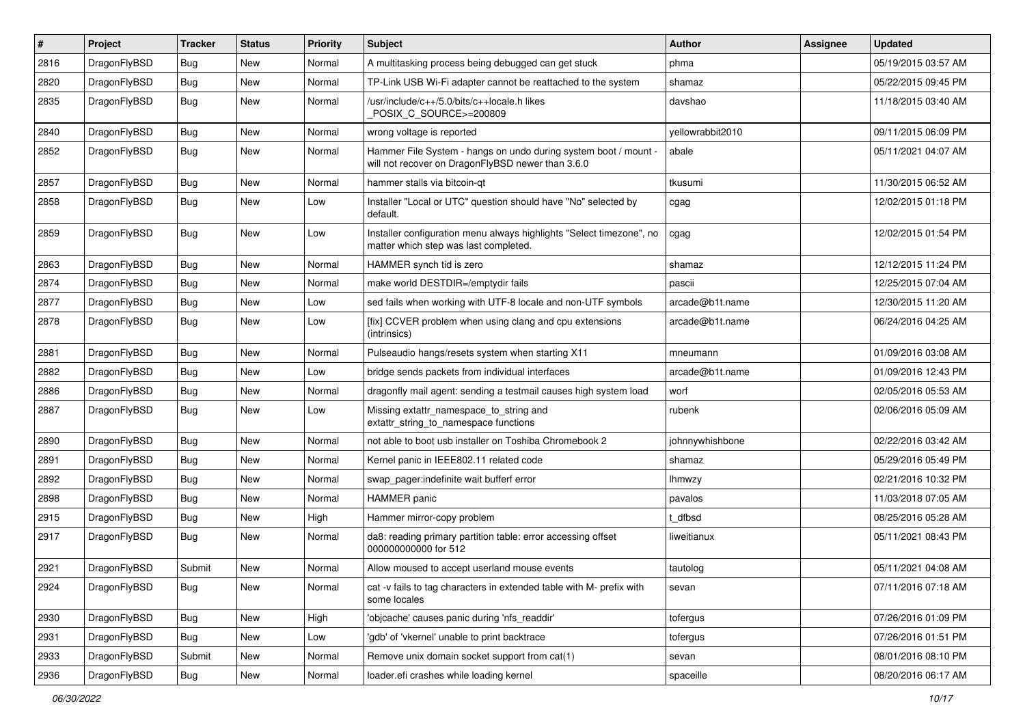| #    | Project      | <b>Tracker</b> | <b>Status</b> | <b>Priority</b> | Subject                                                                                                              | <b>Author</b>    | Assignee | <b>Updated</b>      |
|------|--------------|----------------|---------------|-----------------|----------------------------------------------------------------------------------------------------------------------|------------------|----------|---------------------|
| 2816 | DragonFlyBSD | <b>Bug</b>     | New           | Normal          | A multitasking process being debugged can get stuck                                                                  | phma             |          | 05/19/2015 03:57 AM |
| 2820 | DragonFlyBSD | <b>Bug</b>     | New           | Normal          | TP-Link USB Wi-Fi adapter cannot be reattached to the system                                                         | shamaz           |          | 05/22/2015 09:45 PM |
| 2835 | DragonFlyBSD | <b>Bug</b>     | New           | Normal          | /usr/include/c++/5.0/bits/c++locale.h likes<br>POSIX_C_SOURCE>=200809                                                | davshao          |          | 11/18/2015 03:40 AM |
| 2840 | DragonFlyBSD | Bug            | <b>New</b>    | Normal          | wrong voltage is reported                                                                                            | yellowrabbit2010 |          | 09/11/2015 06:09 PM |
| 2852 | DragonFlyBSD | <b>Bug</b>     | New           | Normal          | Hammer File System - hangs on undo during system boot / mount -<br>will not recover on DragonFlyBSD newer than 3.6.0 | abale            |          | 05/11/2021 04:07 AM |
| 2857 | DragonFlyBSD | <b>Bug</b>     | New           | Normal          | hammer stalls via bitcoin-qt                                                                                         | tkusumi          |          | 11/30/2015 06:52 AM |
| 2858 | DragonFlyBSD | <b>Bug</b>     | <b>New</b>    | Low             | Installer "Local or UTC" question should have "No" selected by<br>default.                                           | cgag             |          | 12/02/2015 01:18 PM |
| 2859 | DragonFlyBSD | <b>Bug</b>     | <b>New</b>    | Low             | Installer configuration menu always highlights "Select timezone", no<br>matter which step was last completed.        | cgag             |          | 12/02/2015 01:54 PM |
| 2863 | DragonFlyBSD | <b>Bug</b>     | <b>New</b>    | Normal          | HAMMER synch tid is zero                                                                                             | shamaz           |          | 12/12/2015 11:24 PM |
| 2874 | DragonFlyBSD | <b>Bug</b>     | New           | Normal          | make world DESTDIR=/emptydir fails                                                                                   | pascii           |          | 12/25/2015 07:04 AM |
| 2877 | DragonFlyBSD | <b>Bug</b>     | New           | Low             | sed fails when working with UTF-8 locale and non-UTF symbols                                                         | arcade@b1t.name  |          | 12/30/2015 11:20 AM |
| 2878 | DragonFlyBSD | Bug            | New           | Low             | [fix] CCVER problem when using clang and cpu extensions<br>(intrinsics)                                              | arcade@b1t.name  |          | 06/24/2016 04:25 AM |
| 2881 | DragonFlyBSD | <b>Bug</b>     | <b>New</b>    | Normal          | Pulseaudio hangs/resets system when starting X11                                                                     | mneumann         |          | 01/09/2016 03:08 AM |
| 2882 | DragonFlyBSD | <b>Bug</b>     | New           | Low             | bridge sends packets from individual interfaces                                                                      | arcade@b1t.name  |          | 01/09/2016 12:43 PM |
| 2886 | DragonFlyBSD | <b>Bug</b>     | New           | Normal          | dragonfly mail agent: sending a testmail causes high system load                                                     | worf             |          | 02/05/2016 05:53 AM |
| 2887 | DragonFlyBSD | Bug            | New           | Low             | Missing extattr_namespace_to_string and<br>extattr_string_to_namespace functions                                     | rubenk           |          | 02/06/2016 05:09 AM |
| 2890 | DragonFlyBSD | <b>Bug</b>     | <b>New</b>    | Normal          | not able to boot usb installer on Toshiba Chromebook 2                                                               | johnnywhishbone  |          | 02/22/2016 03:42 AM |
| 2891 | DragonFlyBSD | <b>Bug</b>     | New           | Normal          | Kernel panic in IEEE802.11 related code                                                                              | shamaz           |          | 05/29/2016 05:49 PM |
| 2892 | DragonFlyBSD | <b>Bug</b>     | New           | Normal          | swap_pager:indefinite wait bufferf error                                                                             | Ihmwzy           |          | 02/21/2016 10:32 PM |
| 2898 | DragonFlyBSD | <b>Bug</b>     | New           | Normal          | <b>HAMMER</b> panic                                                                                                  | pavalos          |          | 11/03/2018 07:05 AM |
| 2915 | DragonFlyBSD | <b>Bug</b>     | New           | High            | Hammer mirror-copy problem                                                                                           | t dfbsd          |          | 08/25/2016 05:28 AM |
| 2917 | DragonFlyBSD | <b>Bug</b>     | New           | Normal          | da8: reading primary partition table: error accessing offset<br>000000000000 for 512                                 | liweitianux      |          | 05/11/2021 08:43 PM |
| 2921 | DragonFlyBSD | Submit         | <b>New</b>    | Normal          | Allow moused to accept userland mouse events                                                                         | tautolog         |          | 05/11/2021 04:08 AM |
| 2924 | DragonFlyBSD | <b>Bug</b>     | New           | Normal          | cat -v fails to tag characters in extended table with M- prefix with<br>some locales                                 | sevan            |          | 07/11/2016 07:18 AM |
| 2930 | DragonFlyBSD | <b>Bug</b>     | New           | High            | 'objcache' causes panic during 'nfs_readdir'                                                                         | tofergus         |          | 07/26/2016 01:09 PM |
| 2931 | DragonFlyBSD | Bug            | New           | Low             | 'gdb' of 'vkernel' unable to print backtrace                                                                         | tofergus         |          | 07/26/2016 01:51 PM |
| 2933 | DragonFlyBSD | Submit         | New           | Normal          | Remove unix domain socket support from cat(1)                                                                        | sevan            |          | 08/01/2016 08:10 PM |
| 2936 | DragonFlyBSD | <b>Bug</b>     | New           | Normal          | loader.efi crashes while loading kernel                                                                              | spaceille        |          | 08/20/2016 06:17 AM |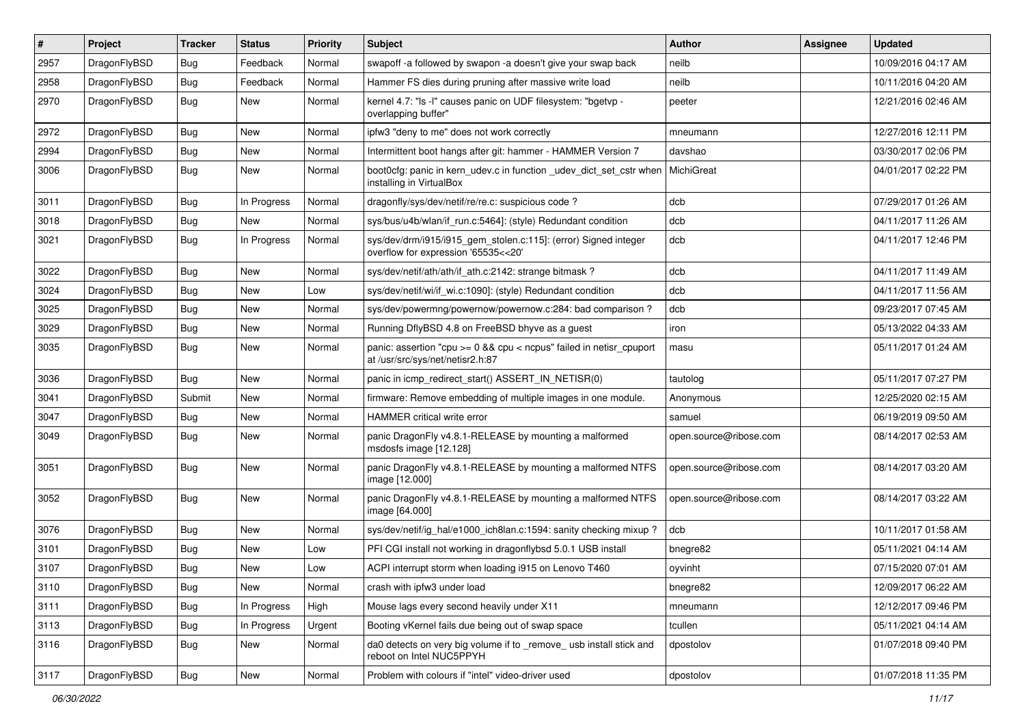| $\sharp$ | Project      | <b>Tracker</b> | <b>Status</b> | <b>Priority</b> | Subject                                                                                                 | Author                 | Assignee | <b>Updated</b>      |
|----------|--------------|----------------|---------------|-----------------|---------------------------------------------------------------------------------------------------------|------------------------|----------|---------------------|
| 2957     | DragonFlyBSD | <b>Bug</b>     | Feedback      | Normal          | swapoff -a followed by swapon -a doesn't give your swap back                                            | neilb                  |          | 10/09/2016 04:17 AM |
| 2958     | DragonFlyBSD | Bug            | Feedback      | Normal          | Hammer FS dies during pruning after massive write load                                                  | neilb                  |          | 10/11/2016 04:20 AM |
| 2970     | DragonFlyBSD | <b>Bug</b>     | New           | Normal          | kernel 4.7: "Is -I" causes panic on UDF filesystem: "bgetvp -<br>overlapping buffer"                    | peeter                 |          | 12/21/2016 02:46 AM |
| 2972     | DragonFlyBSD | Bug            | <b>New</b>    | Normal          | ipfw3 "deny to me" does not work correctly                                                              | mneumann               |          | 12/27/2016 12:11 PM |
| 2994     | DragonFlyBSD | <b>Bug</b>     | <b>New</b>    | Normal          | Intermittent boot hangs after git: hammer - HAMMER Version 7                                            | davshao                |          | 03/30/2017 02:06 PM |
| 3006     | DragonFlyBSD | <b>Bug</b>     | <b>New</b>    | Normal          | boot0cfg: panic in kern_udev.c in function _udev_dict_set_cstr when<br>installing in VirtualBox         | MichiGreat             |          | 04/01/2017 02:22 PM |
| 3011     | DragonFlyBSD | Bug            | In Progress   | Normal          | dragonfly/sys/dev/netif/re/re.c: suspicious code ?                                                      | dcb                    |          | 07/29/2017 01:26 AM |
| 3018     | DragonFlyBSD | Bug            | New           | Normal          | sys/bus/u4b/wlan/if_run.c:5464]: (style) Redundant condition                                            | dcb                    |          | 04/11/2017 11:26 AM |
| 3021     | DragonFlyBSD | Bug            | In Progress   | Normal          | sys/dev/drm/i915/i915_gem_stolen.c:115]: (error) Signed integer<br>overflow for expression '65535<<20'  | dcb                    |          | 04/11/2017 12:46 PM |
| 3022     | DragonFlyBSD | Bug            | <b>New</b>    | Normal          | sys/dev/netif/ath/ath/if_ath.c:2142: strange bitmask?                                                   | dcb                    |          | 04/11/2017 11:49 AM |
| 3024     | DragonFlyBSD | <b>Bug</b>     | New           | Low             | sys/dev/netif/wi/if_wi.c:1090]: (style) Redundant condition                                             | dcb                    |          | 04/11/2017 11:56 AM |
| 3025     | DragonFlyBSD | <b>Bug</b>     | <b>New</b>    | Normal          | sys/dev/powermng/powernow/powernow.c:284: bad comparison ?                                              | dcb                    |          | 09/23/2017 07:45 AM |
| 3029     | DragonFlyBSD | <b>Bug</b>     | <b>New</b>    | Normal          | Running DflyBSD 4.8 on FreeBSD bhyve as a guest                                                         | iron                   |          | 05/13/2022 04:33 AM |
| 3035     | DragonFlyBSD | <b>Bug</b>     | New           | Normal          | panic: assertion "cpu >= 0 && cpu < ncpus" failed in netisr_cpuport<br>at /usr/src/sys/net/netisr2.h:87 | masu                   |          | 05/11/2017 01:24 AM |
| 3036     | DragonFlyBSD | Bug            | <b>New</b>    | Normal          | panic in icmp_redirect_start() ASSERT_IN_NETISR(0)                                                      | tautolog               |          | 05/11/2017 07:27 PM |
| 3041     | DragonFlyBSD | Submit         | New           | Normal          | firmware: Remove embedding of multiple images in one module.                                            | Anonymous              |          | 12/25/2020 02:15 AM |
| 3047     | DragonFlyBSD | Bug            | <b>New</b>    | Normal          | <b>HAMMER</b> critical write error                                                                      | samuel                 |          | 06/19/2019 09:50 AM |
| 3049     | DragonFlyBSD | Bug            | New           | Normal          | panic DragonFly v4.8.1-RELEASE by mounting a malformed<br>msdosfs image [12.128]                        | open.source@ribose.com |          | 08/14/2017 02:53 AM |
| 3051     | DragonFlyBSD | Bug            | New           | Normal          | panic DragonFly v4.8.1-RELEASE by mounting a malformed NTFS<br>image [12.000]                           | open.source@ribose.com |          | 08/14/2017 03:20 AM |
| 3052     | DragonFlyBSD | <b>Bug</b>     | New           | Normal          | panic DragonFly v4.8.1-RELEASE by mounting a malformed NTFS<br>image [64.000]                           | open.source@ribose.com |          | 08/14/2017 03:22 AM |
| 3076     | DragonFlyBSD | Bug            | <b>New</b>    | Normal          | sys/dev/netif/ig_hal/e1000_ich8lan.c:1594: sanity checking mixup?                                       | dcb                    |          | 10/11/2017 01:58 AM |
| 3101     | DragonFlyBSD | Bug            | <b>New</b>    | Low             | PFI CGI install not working in dragonflybsd 5.0.1 USB install                                           | bnegre82               |          | 05/11/2021 04:14 AM |
| 3107     | DragonFlyBSD | Bug            | New           | Low             | ACPI interrupt storm when loading i915 on Lenovo T460                                                   | oyvinht                |          | 07/15/2020 07:01 AM |
| 3110     | DragonFlyBSD | <b>Bug</b>     | New           | Normal          | crash with ipfw3 under load                                                                             | bnegre82               |          | 12/09/2017 06:22 AM |
| 3111     | DragonFlyBSD | <b>Bug</b>     | In Progress   | High            | Mouse lags every second heavily under X11                                                               | mneumann               |          | 12/12/2017 09:46 PM |
| 3113     | DragonFlyBSD | <b>Bug</b>     | In Progress   | Urgent          | Booting vKernel fails due being out of swap space                                                       | tcullen                |          | 05/11/2021 04:14 AM |
| 3116     | DragonFlyBSD | Bug            | New           | Normal          | da0 detects on very big volume if to _remove_ usb install stick and<br>reboot on Intel NUC5PPYH         | dpostolov              |          | 01/07/2018 09:40 PM |
| 3117     | DragonFlyBSD | Bug            | New           | Normal          | Problem with colours if "intel" video-driver used                                                       | dpostolov              |          | 01/07/2018 11:35 PM |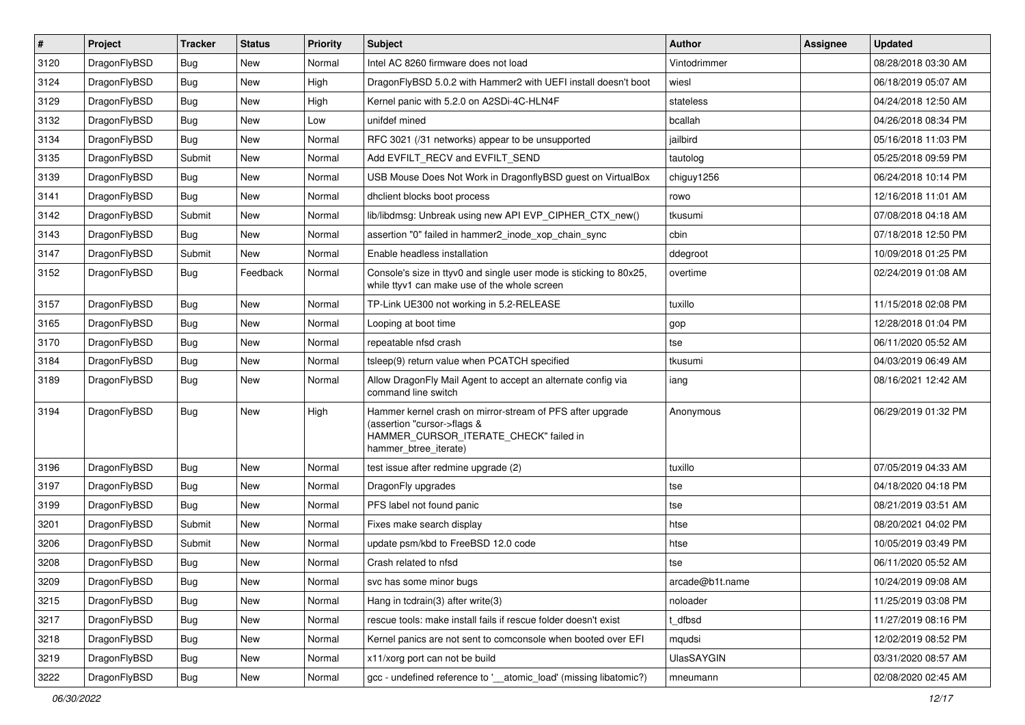| $\sharp$ | Project      | <b>Tracker</b> | <b>Status</b> | Priority | Subject                                                                                                                                                     | <b>Author</b>     | Assignee | <b>Updated</b>      |
|----------|--------------|----------------|---------------|----------|-------------------------------------------------------------------------------------------------------------------------------------------------------------|-------------------|----------|---------------------|
| 3120     | DragonFlyBSD | Bug            | New           | Normal   | Intel AC 8260 firmware does not load                                                                                                                        | Vintodrimmer      |          | 08/28/2018 03:30 AM |
| 3124     | DragonFlyBSD | Bug            | <b>New</b>    | High     | DragonFlyBSD 5.0.2 with Hammer2 with UEFI install doesn't boot                                                                                              | wiesl             |          | 06/18/2019 05:07 AM |
| 3129     | DragonFlyBSD | Bug            | New           | High     | Kernel panic with 5.2.0 on A2SDi-4C-HLN4F                                                                                                                   | stateless         |          | 04/24/2018 12:50 AM |
| 3132     | DragonFlyBSD | Bug            | <b>New</b>    | Low      | unifdef mined                                                                                                                                               | bcallah           |          | 04/26/2018 08:34 PM |
| 3134     | DragonFlyBSD | Bug            | <b>New</b>    | Normal   | RFC 3021 (/31 networks) appear to be unsupported                                                                                                            | jailbird          |          | 05/16/2018 11:03 PM |
| 3135     | DragonFlyBSD | Submit         | <b>New</b>    | Normal   | Add EVFILT_RECV and EVFILT_SEND                                                                                                                             | tautolog          |          | 05/25/2018 09:59 PM |
| 3139     | DragonFlyBSD | Bug            | New           | Normal   | USB Mouse Does Not Work in DragonflyBSD guest on VirtualBox                                                                                                 | chiguy1256        |          | 06/24/2018 10:14 PM |
| 3141     | DragonFlyBSD | Bug            | <b>New</b>    | Normal   | dhclient blocks boot process                                                                                                                                | rowo              |          | 12/16/2018 11:01 AM |
| 3142     | DragonFlyBSD | Submit         | <b>New</b>    | Normal   | lib/libdmsg: Unbreak using new API EVP_CIPHER_CTX_new()                                                                                                     | tkusumi           |          | 07/08/2018 04:18 AM |
| 3143     | DragonFlyBSD | Bug            | New           | Normal   | assertion "0" failed in hammer2_inode_xop_chain_sync                                                                                                        | cbin              |          | 07/18/2018 12:50 PM |
| 3147     | DragonFlyBSD | Submit         | <b>New</b>    | Normal   | Enable headless installation                                                                                                                                | ddegroot          |          | 10/09/2018 01:25 PM |
| 3152     | DragonFlyBSD | Bug            | Feedback      | Normal   | Console's size in ttyv0 and single user mode is sticking to 80x25,<br>while ttyv1 can make use of the whole screen                                          | overtime          |          | 02/24/2019 01:08 AM |
| 3157     | DragonFlyBSD | <b>Bug</b>     | New           | Normal   | TP-Link UE300 not working in 5.2-RELEASE                                                                                                                    | tuxillo           |          | 11/15/2018 02:08 PM |
| 3165     | DragonFlyBSD | Bug            | <b>New</b>    | Normal   | Looping at boot time                                                                                                                                        | gop               |          | 12/28/2018 01:04 PM |
| 3170     | DragonFlyBSD | Bug            | New           | Normal   | repeatable nfsd crash                                                                                                                                       | tse               |          | 06/11/2020 05:52 AM |
| 3184     | DragonFlyBSD | <b>Bug</b>     | <b>New</b>    | Normal   | tsleep(9) return value when PCATCH specified                                                                                                                | tkusumi           |          | 04/03/2019 06:49 AM |
| 3189     | DragonFlyBSD | Bug            | New           | Normal   | Allow DragonFly Mail Agent to accept an alternate config via<br>command line switch                                                                         | iang              |          | 08/16/2021 12:42 AM |
| 3194     | DragonFlyBSD | Bug            | New           | High     | Hammer kernel crash on mirror-stream of PFS after upgrade<br>(assertion "cursor->flags &<br>HAMMER_CURSOR_ITERATE_CHECK" failed in<br>hammer_btree_iterate) | Anonymous         |          | 06/29/2019 01:32 PM |
| 3196     | DragonFlyBSD | Bug            | <b>New</b>    | Normal   | test issue after redmine upgrade (2)                                                                                                                        | tuxillo           |          | 07/05/2019 04:33 AM |
| 3197     | DragonFlyBSD | Bug            | <b>New</b>    | Normal   | DragonFly upgrades                                                                                                                                          | tse               |          | 04/18/2020 04:18 PM |
| 3199     | DragonFlyBSD | <b>Bug</b>     | New           | Normal   | PFS label not found panic                                                                                                                                   | tse               |          | 08/21/2019 03:51 AM |
| 3201     | DragonFlyBSD | Submit         | New           | Normal   | Fixes make search display                                                                                                                                   | htse              |          | 08/20/2021 04:02 PM |
| 3206     | DragonFlyBSD | Submit         | New           | Normal   | update psm/kbd to FreeBSD 12.0 code                                                                                                                         | htse              |          | 10/05/2019 03:49 PM |
| 3208     | DragonFlyBSD | <b>Bug</b>     | New           | Normal   | Crash related to nfsd                                                                                                                                       | tse               |          | 06/11/2020 05:52 AM |
| 3209     | DragonFlyBSD | <b>Bug</b>     | <b>New</b>    | Normal   | svc has some minor bugs                                                                                                                                     | arcade@b1t.name   |          | 10/24/2019 09:08 AM |
| 3215     | DragonFlyBSD | <b>Bug</b>     | <b>New</b>    | Normal   | Hang in todrain(3) after write(3)                                                                                                                           | noloader          |          | 11/25/2019 03:08 PM |
| 3217     | DragonFlyBSD | <b>Bug</b>     | New           | Normal   | rescue tools: make install fails if rescue folder doesn't exist                                                                                             | t dfbsd           |          | 11/27/2019 08:16 PM |
| 3218     | DragonFlyBSD | <b>Bug</b>     | New           | Normal   | Kernel panics are not sent to comconsole when booted over EFI                                                                                               | mqudsi            |          | 12/02/2019 08:52 PM |
| 3219     | DragonFlyBSD | <b>Bug</b>     | New           | Normal   | x11/xorg port can not be build                                                                                                                              | <b>UlasSAYGIN</b> |          | 03/31/2020 08:57 AM |
| 3222     | DragonFlyBSD | <b>Bug</b>     | New           | Normal   | gcc - undefined reference to '__atomic_load' (missing libatomic?)                                                                                           | mneumann          |          | 02/08/2020 02:45 AM |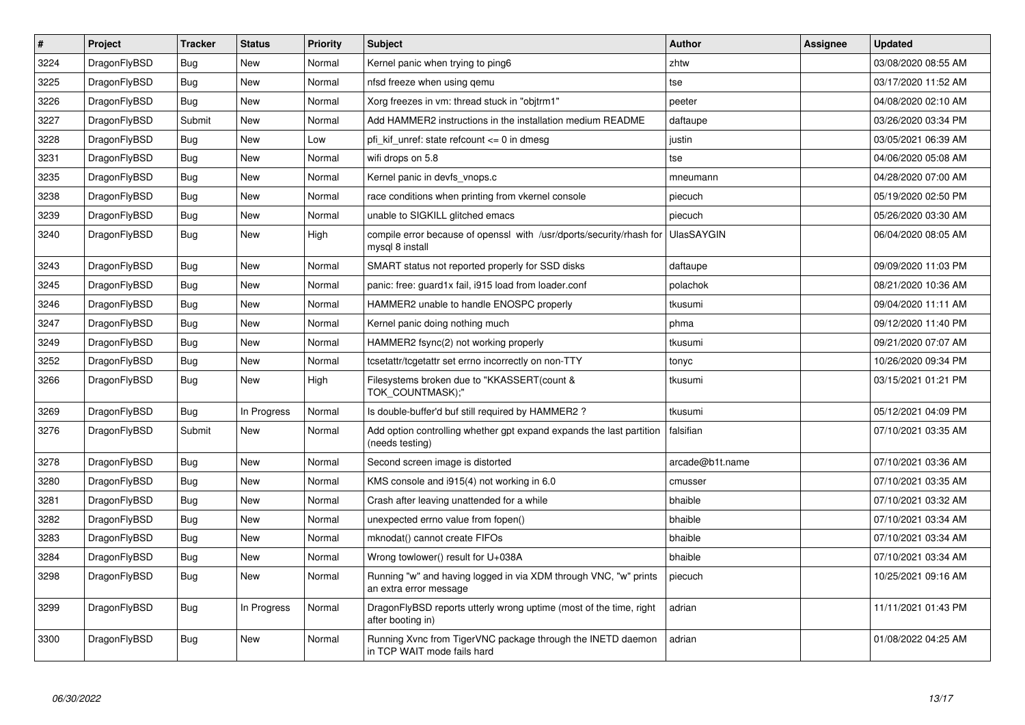| $\vert$ # | Project      | <b>Tracker</b> | <b>Status</b> | <b>Priority</b> | <b>Subject</b>                                                                             | Author            | Assignee | <b>Updated</b>      |
|-----------|--------------|----------------|---------------|-----------------|--------------------------------------------------------------------------------------------|-------------------|----------|---------------------|
| 3224      | DragonFlyBSD | <b>Bug</b>     | <b>New</b>    | Normal          | Kernel panic when trying to ping6                                                          | zhtw              |          | 03/08/2020 08:55 AM |
| 3225      | DragonFlyBSD | Bug            | <b>New</b>    | Normal          | nfsd freeze when using gemu                                                                | tse               |          | 03/17/2020 11:52 AM |
| 3226      | DragonFlyBSD | Bug            | <b>New</b>    | Normal          | Xorg freezes in vm: thread stuck in "objtrm1"                                              | peeter            |          | 04/08/2020 02:10 AM |
| 3227      | DragonFlyBSD | Submit         | New           | Normal          | Add HAMMER2 instructions in the installation medium README                                 | daftaupe          |          | 03/26/2020 03:34 PM |
| 3228      | DragonFlyBSD | <b>Bug</b>     | <b>New</b>    | Low             | pfi kif unref: state refcount $\leq$ 0 in dmesg                                            | justin            |          | 03/05/2021 06:39 AM |
| 3231      | DragonFlyBSD | <b>Bug</b>     | <b>New</b>    | Normal          | wifi drops on 5.8                                                                          | tse               |          | 04/06/2020 05:08 AM |
| 3235      | DragonFlyBSD | Bug            | New           | Normal          | Kernel panic in devfs vnops.c                                                              | mneumann          |          | 04/28/2020 07:00 AM |
| 3238      | DragonFlyBSD | <b>Bug</b>     | <b>New</b>    | Normal          | race conditions when printing from vkernel console                                         | piecuch           |          | 05/19/2020 02:50 PM |
| 3239      | DragonFlyBSD | Bug            | New           | Normal          | unable to SIGKILL glitched emacs                                                           | piecuch           |          | 05/26/2020 03:30 AM |
| 3240      | DragonFlyBSD | Bug            | New           | High            | compile error because of openssl with /usr/dports/security/rhash for<br>mysql 8 install    | <b>UlasSAYGIN</b> |          | 06/04/2020 08:05 AM |
| 3243      | DragonFlyBSD | Bug            | New           | Normal          | SMART status not reported properly for SSD disks                                           | daftaupe          |          | 09/09/2020 11:03 PM |
| 3245      | DragonFlyBSD | <b>Bug</b>     | <b>New</b>    | Normal          | panic: free: guard1x fail, i915 load from loader.conf                                      | polachok          |          | 08/21/2020 10:36 AM |
| 3246      | DragonFlyBSD | Bug            | New           | Normal          | HAMMER2 unable to handle ENOSPC properly                                                   | tkusumi           |          | 09/04/2020 11:11 AM |
| 3247      | DragonFlyBSD | <b>Bug</b>     | <b>New</b>    | Normal          | Kernel panic doing nothing much                                                            | phma              |          | 09/12/2020 11:40 PM |
| 3249      | DragonFlyBSD | Bug            | <b>New</b>    | Normal          | HAMMER2 fsync(2) not working properly                                                      | tkusumi           |          | 09/21/2020 07:07 AM |
| 3252      | DragonFlyBSD | Bug            | <b>New</b>    | Normal          | tcsetattr/tcgetattr set errno incorrectly on non-TTY                                       | tonyc             |          | 10/26/2020 09:34 PM |
| 3266      | DragonFlyBSD | <b>Bug</b>     | New           | High            | Filesystems broken due to "KKASSERT(count &<br>TOK COUNTMASK);"                            | tkusumi           |          | 03/15/2021 01:21 PM |
| 3269      | DragonFlyBSD | <b>Bug</b>     | In Progress   | Normal          | Is double-buffer'd buf still required by HAMMER2 ?                                         | tkusumi           |          | 05/12/2021 04:09 PM |
| 3276      | DragonFlyBSD | Submit         | New           | Normal          | Add option controlling whether gpt expand expands the last partition<br>(needs testing)    | falsifian         |          | 07/10/2021 03:35 AM |
| 3278      | DragonFlyBSD | Bug            | <b>New</b>    | Normal          | Second screen image is distorted                                                           | arcade@b1t.name   |          | 07/10/2021 03:36 AM |
| 3280      | DragonFlyBSD | <b>Bug</b>     | <b>New</b>    | Normal          | KMS console and i915(4) not working in 6.0                                                 | cmusser           |          | 07/10/2021 03:35 AM |
| 3281      | DragonFlyBSD | <b>Bug</b>     | <b>New</b>    | Normal          | Crash after leaving unattended for a while                                                 | bhaible           |          | 07/10/2021 03:32 AM |
| 3282      | DragonFlyBSD | Bug            | <b>New</b>    | Normal          | unexpected errno value from fopen()                                                        | bhaible           |          | 07/10/2021 03:34 AM |
| 3283      | DragonFlyBSD | <b>Bug</b>     | <b>New</b>    | Normal          | mknodat() cannot create FIFOs                                                              | bhaible           |          | 07/10/2021 03:34 AM |
| 3284      | DragonFlyBSD | <b>Bug</b>     | New           | Normal          | Wrong towlower() result for U+038A                                                         | bhaible           |          | 07/10/2021 03:34 AM |
| 3298      | DragonFlyBSD | <b>Bug</b>     | New           | Normal          | Running "w" and having logged in via XDM through VNC, "w" prints<br>an extra error message | piecuch           |          | 10/25/2021 09:16 AM |
| 3299      | DragonFlyBSD | Bug            | In Progress   | Normal          | DragonFlyBSD reports utterly wrong uptime (most of the time, right<br>after booting in)    | adrian            |          | 11/11/2021 01:43 PM |
| 3300      | DragonFlyBSD | Bug            | <b>New</b>    | Normal          | Running Xvnc from TigerVNC package through the INETD daemon<br>in TCP WAIT mode fails hard | adrian            |          | 01/08/2022 04:25 AM |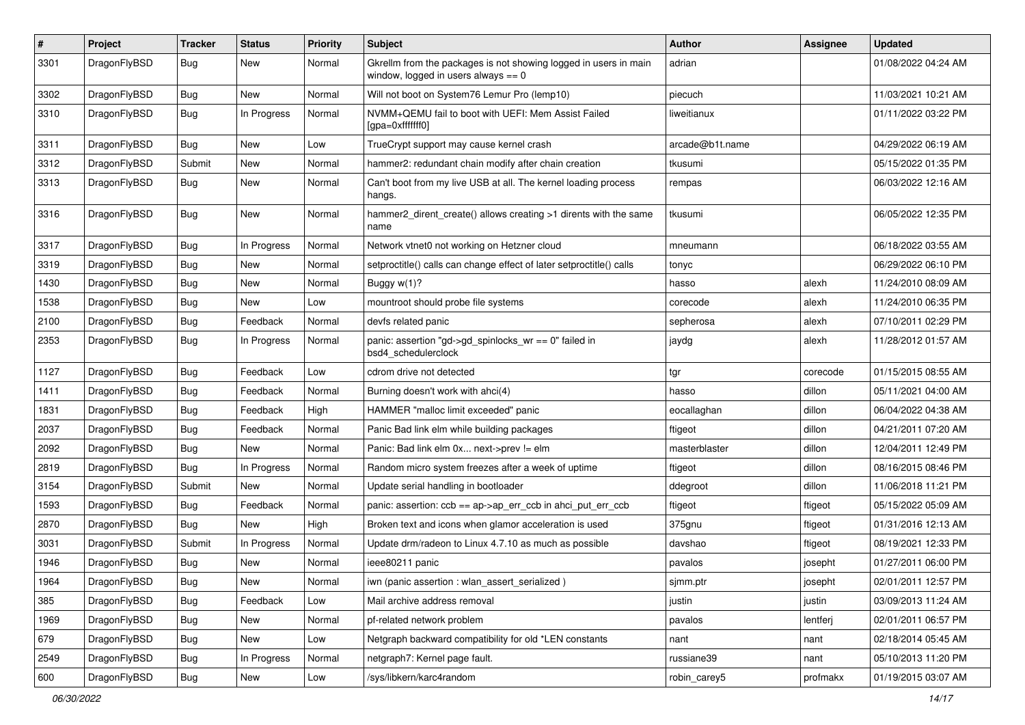| $\pmb{\#}$ | Project      | <b>Tracker</b> | <b>Status</b> | <b>Priority</b> | Subject                                                                                                   | <b>Author</b>   | Assignee | <b>Updated</b>      |
|------------|--------------|----------------|---------------|-----------------|-----------------------------------------------------------------------------------------------------------|-----------------|----------|---------------------|
| 3301       | DragonFlyBSD | Bug            | New           | Normal          | Gkrellm from the packages is not showing logged in users in main<br>window, logged in users always $== 0$ | adrian          |          | 01/08/2022 04:24 AM |
| 3302       | DragonFlyBSD | <b>Bug</b>     | <b>New</b>    | Normal          | Will not boot on System76 Lemur Pro (lemp10)                                                              | piecuch         |          | 11/03/2021 10:21 AM |
| 3310       | DragonFlyBSD | Bug            | In Progress   | Normal          | NVMM+QEMU fail to boot with UEFI: Mem Assist Failed<br>[gpa=0xfffffff0]                                   | liweitianux     |          | 01/11/2022 03:22 PM |
| 3311       | DragonFlyBSD | <b>Bug</b>     | <b>New</b>    | Low             | TrueCrypt support may cause kernel crash                                                                  | arcade@b1t.name |          | 04/29/2022 06:19 AM |
| 3312       | DragonFlyBSD | Submit         | New           | Normal          | hammer2: redundant chain modify after chain creation                                                      | tkusumi         |          | 05/15/2022 01:35 PM |
| 3313       | DragonFlyBSD | Bug            | New           | Normal          | Can't boot from my live USB at all. The kernel loading process<br>hangs.                                  | rempas          |          | 06/03/2022 12:16 AM |
| 3316       | DragonFlyBSD | Bug            | New           | Normal          | hammer2_dirent_create() allows creating >1 dirents with the same<br>name                                  | tkusumi         |          | 06/05/2022 12:35 PM |
| 3317       | DragonFlyBSD | Bug            | In Progress   | Normal          | Network vtnet0 not working on Hetzner cloud                                                               | mneumann        |          | 06/18/2022 03:55 AM |
| 3319       | DragonFlyBSD | Bug            | New           | Normal          | setproctitle() calls can change effect of later setproctitle() calls                                      | tonyc           |          | 06/29/2022 06:10 PM |
| 1430       | DragonFlyBSD | Bug            | New           | Normal          | Buggy $w(1)$ ?                                                                                            | hasso           | alexh    | 11/24/2010 08:09 AM |
| 1538       | DragonFlyBSD | Bug            | New           | Low             | mountroot should probe file systems                                                                       | corecode        | alexh    | 11/24/2010 06:35 PM |
| 2100       | DragonFlyBSD | Bug            | Feedback      | Normal          | devfs related panic                                                                                       | sepherosa       | alexh    | 07/10/2011 02:29 PM |
| 2353       | DragonFlyBSD | Bug            | In Progress   | Normal          | panic: assertion "gd->gd_spinlocks_wr == 0" failed in<br>bsd4_schedulerclock                              | jaydg           | alexh    | 11/28/2012 01:57 AM |
| 1127       | DragonFlyBSD | <b>Bug</b>     | Feedback      | Low             | cdrom drive not detected                                                                                  | tgr             | corecode | 01/15/2015 08:55 AM |
| 1411       | DragonFlyBSD | Bug            | Feedback      | Normal          | Burning doesn't work with ahci(4)                                                                         | hasso           | dillon   | 05/11/2021 04:00 AM |
| 1831       | DragonFlyBSD | <b>Bug</b>     | Feedback      | High            | HAMMER "malloc limit exceeded" panic                                                                      | eocallaghan     | dillon   | 06/04/2022 04:38 AM |
| 2037       | DragonFlyBSD | <b>Bug</b>     | Feedback      | Normal          | Panic Bad link elm while building packages                                                                | ftigeot         | dillon   | 04/21/2011 07:20 AM |
| 2092       | DragonFlyBSD | Bug            | <b>New</b>    | Normal          | Panic: Bad link elm 0x next->prev != elm                                                                  | masterblaster   | dillon   | 12/04/2011 12:49 PM |
| 2819       | DragonFlyBSD | Bug            | In Progress   | Normal          | Random micro system freezes after a week of uptime                                                        | ftigeot         | dillon   | 08/16/2015 08:46 PM |
| 3154       | DragonFlyBSD | Submit         | New           | Normal          | Update serial handling in bootloader                                                                      | ddegroot        | dillon   | 11/06/2018 11:21 PM |
| 1593       | DragonFlyBSD | Bug            | Feedback      | Normal          | panic: assertion: ccb == ap->ap_err_ccb in ahci_put_err_ccb                                               | ftigeot         | ftigeot  | 05/15/2022 05:09 AM |
| 2870       | DragonFlyBSD | Bug            | New           | High            | Broken text and icons when glamor acceleration is used                                                    | 375gnu          | ftigeot  | 01/31/2016 12:13 AM |
| 3031       | DragonFlyBSD | Submit         | In Progress   | Normal          | Update drm/radeon to Linux 4.7.10 as much as possible                                                     | davshao         | ftigeot  | 08/19/2021 12:33 PM |
| 1946       | DragonFlyBSD | Bug            | New           | Normal          | ieee80211 panic                                                                                           | pavalos         | josepht  | 01/27/2011 06:00 PM |
| 1964       | DragonFlyBSD | <b>Bug</b>     | New           | Normal          | iwn (panic assertion : wlan_assert_serialized)                                                            | sjmm.ptr        | josepht  | 02/01/2011 12:57 PM |
| 385        | DragonFlyBSD | Bug            | Feedback      | Low             | Mail archive address removal                                                                              | justin          | justin   | 03/09/2013 11:24 AM |
| 1969       | DragonFlyBSD | <b>Bug</b>     | New           | Normal          | pf-related network problem                                                                                | pavalos         | lentferj | 02/01/2011 06:57 PM |
| 679        | DragonFlyBSD | <b>Bug</b>     | New           | Low             | Netgraph backward compatibility for old *LEN constants                                                    | nant            | nant     | 02/18/2014 05:45 AM |
| 2549       | DragonFlyBSD | Bug            | In Progress   | Normal          | netgraph7: Kernel page fault.                                                                             | russiane39      | nant     | 05/10/2013 11:20 PM |
| 600        | DragonFlyBSD | Bug            | New           | Low             | /sys/libkern/karc4random                                                                                  | robin_carey5    | profmakx | 01/19/2015 03:07 AM |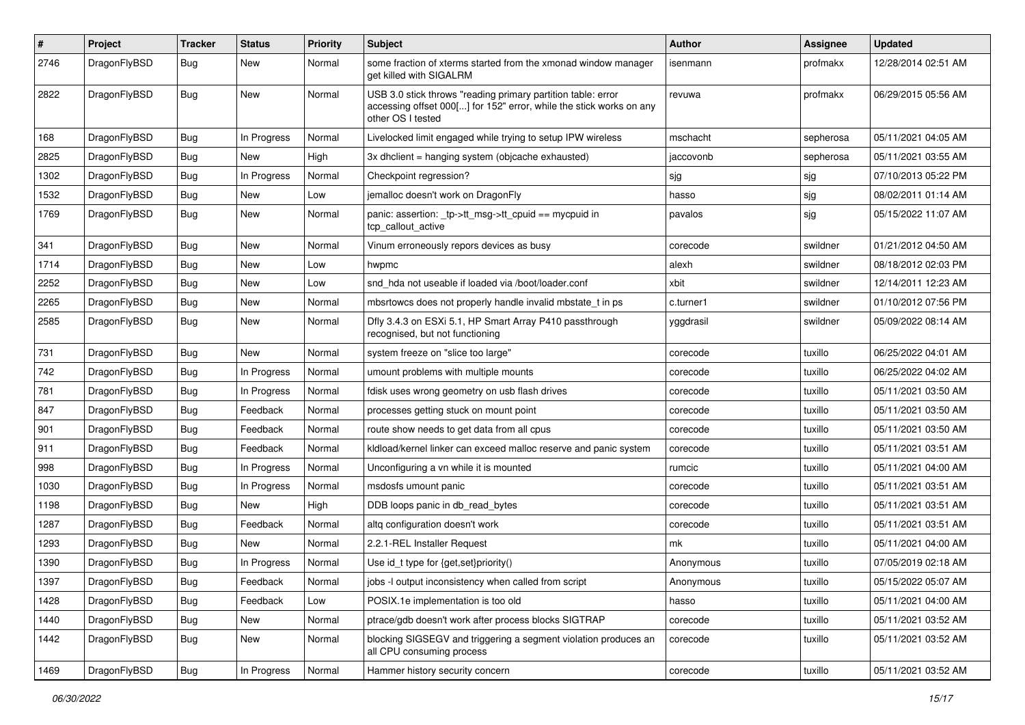| #    | Project      | <b>Tracker</b> | <b>Status</b> | <b>Priority</b> | Subject                                                                                                                                                  | <b>Author</b> | <b>Assignee</b> | <b>Updated</b>      |
|------|--------------|----------------|---------------|-----------------|----------------------------------------------------------------------------------------------------------------------------------------------------------|---------------|-----------------|---------------------|
| 2746 | DragonFlyBSD | <b>Bug</b>     | New           | Normal          | some fraction of xterms started from the xmonad window manager<br>get killed with SIGALRM                                                                | isenmann      | profmakx        | 12/28/2014 02:51 AM |
| 2822 | DragonFlyBSD | <b>Bug</b>     | New           | Normal          | USB 3.0 stick throws "reading primary partition table: error<br>accessing offset 000[] for 152" error, while the stick works on any<br>other OS I tested | revuwa        | profmakx        | 06/29/2015 05:56 AM |
| 168  | DragonFlyBSD | <b>Bug</b>     | In Progress   | Normal          | Livelocked limit engaged while trying to setup IPW wireless                                                                                              | mschacht      | sepherosa       | 05/11/2021 04:05 AM |
| 2825 | DragonFlyBSD | <b>Bug</b>     | New           | High            | 3x dhclient = hanging system (objcache exhausted)                                                                                                        | jaccovonb     | sepherosa       | 05/11/2021 03:55 AM |
| 1302 | DragonFlyBSD | <b>Bug</b>     | In Progress   | Normal          | Checkpoint regression?                                                                                                                                   | sjg           | sjg             | 07/10/2013 05:22 PM |
| 1532 | DragonFlyBSD | <b>Bug</b>     | New           | Low             | jemalloc doesn't work on DragonFly                                                                                                                       | hasso         | sjg             | 08/02/2011 01:14 AM |
| 1769 | DragonFlyBSD | <b>Bug</b>     | New           | Normal          | panic: assertion: _tp->tt_msg->tt_cpuid == mycpuid in<br>tcp callout active                                                                              | pavalos       | sjg             | 05/15/2022 11:07 AM |
| 341  | DragonFlyBSD | Bug            | New           | Normal          | Vinum erroneously repors devices as busy                                                                                                                 | corecode      | swildner        | 01/21/2012 04:50 AM |
| 1714 | DragonFlyBSD | Bug            | New           | Low             | hwpmc                                                                                                                                                    | alexh         | swildner        | 08/18/2012 02:03 PM |
| 2252 | DragonFlyBSD | Bug            | New           | Low             | snd hda not useable if loaded via /boot/loader.conf                                                                                                      | xbit          | swildner        | 12/14/2011 12:23 AM |
| 2265 | DragonFlyBSD | Bug            | <b>New</b>    | Normal          | mbsrtowcs does not properly handle invalid mbstate_t in ps                                                                                               | c.turner1     | swildner        | 01/10/2012 07:56 PM |
| 2585 | DragonFlyBSD | Bug            | New           | Normal          | Dfly 3.4.3 on ESXi 5.1, HP Smart Array P410 passthrough<br>recognised, but not functioning                                                               | yggdrasil     | swildner        | 05/09/2022 08:14 AM |
| 731  | DragonFlyBSD | Bug            | New           | Normal          | system freeze on "slice too large"                                                                                                                       | corecode      | tuxillo         | 06/25/2022 04:01 AM |
| 742  | DragonFlyBSD | Bug            | In Progress   | Normal          | umount problems with multiple mounts                                                                                                                     | corecode      | tuxillo         | 06/25/2022 04:02 AM |
| 781  | DragonFlyBSD | <b>Bug</b>     | In Progress   | Normal          | fdisk uses wrong geometry on usb flash drives                                                                                                            | corecode      | tuxillo         | 05/11/2021 03:50 AM |
| 847  | DragonFlyBSD | Bug            | Feedback      | Normal          | processes getting stuck on mount point                                                                                                                   | corecode      | tuxillo         | 05/11/2021 03:50 AM |
| 901  | DragonFlyBSD | Bug            | Feedback      | Normal          | route show needs to get data from all cpus                                                                                                               | corecode      | tuxillo         | 05/11/2021 03:50 AM |
| 911  | DragonFlyBSD | Bug            | Feedback      | Normal          | kidload/kernel linker can exceed malloc reserve and panic system                                                                                         | corecode      | tuxillo         | 05/11/2021 03:51 AM |
| 998  | DragonFlyBSD | Bug            | In Progress   | Normal          | Unconfiguring a vn while it is mounted                                                                                                                   | rumcic        | tuxillo         | 05/11/2021 04:00 AM |
| 1030 | DragonFlyBSD | <b>Bug</b>     | In Progress   | Normal          | msdosfs umount panic                                                                                                                                     | corecode      | tuxillo         | 05/11/2021 03:51 AM |
| 1198 | DragonFlyBSD | Bug            | New           | High            | DDB loops panic in db_read_bytes                                                                                                                         | corecode      | tuxillo         | 05/11/2021 03:51 AM |
| 1287 | DragonFlyBSD | Bug            | Feedback      | Normal          | altg configuration doesn't work                                                                                                                          | corecode      | tuxillo         | 05/11/2021 03:51 AM |
| 1293 | DragonFlyBSD | Bug            | New           | Normal          | 2.2.1-REL Installer Request                                                                                                                              | mk            | tuxillo         | 05/11/2021 04:00 AM |
| 1390 | DragonFlyBSD | <b>Bug</b>     | In Progress   | Normal          | Use id_t type for {get,set}priority()                                                                                                                    | Anonymous     | tuxillo         | 07/05/2019 02:18 AM |
| 1397 | DragonFlyBSD | <b>Bug</b>     | Feedback      | Normal          | jobs -I output inconsistency when called from script                                                                                                     | Anonymous     | tuxillo         | 05/15/2022 05:07 AM |
| 1428 | DragonFlyBSD | <b>Bug</b>     | Feedback      | Low             | POSIX.1e implementation is too old                                                                                                                       | hasso         | tuxillo         | 05/11/2021 04:00 AM |
| 1440 | DragonFlyBSD | <b>Bug</b>     | New           | Normal          | ptrace/gdb doesn't work after process blocks SIGTRAP                                                                                                     | corecode      | tuxillo         | 05/11/2021 03:52 AM |
| 1442 | DragonFlyBSD | <b>Bug</b>     | New           | Normal          | blocking SIGSEGV and triggering a segment violation produces an<br>all CPU consuming process                                                             | corecode      | tuxillo         | 05/11/2021 03:52 AM |
| 1469 | DragonFlyBSD | <b>Bug</b>     | In Progress   | Normal          | Hammer history security concern                                                                                                                          | corecode      | tuxillo         | 05/11/2021 03:52 AM |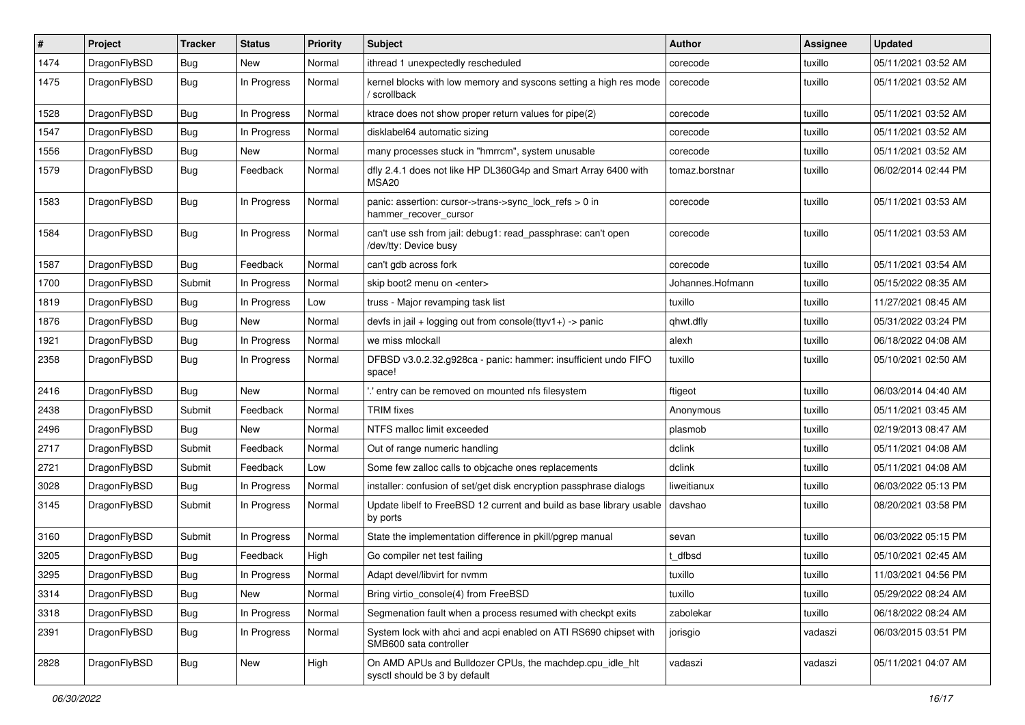| ∦    | Project      | <b>Tracker</b> | <b>Status</b> | <b>Priority</b> | Subject                                                                                    | <b>Author</b>    | <b>Assignee</b> | <b>Updated</b>      |
|------|--------------|----------------|---------------|-----------------|--------------------------------------------------------------------------------------------|------------------|-----------------|---------------------|
| 1474 | DragonFlyBSD | Bug            | New           | Normal          | ithread 1 unexpectedly rescheduled                                                         | corecode         | tuxillo         | 05/11/2021 03:52 AM |
| 1475 | DragonFlyBSD | Bug            | In Progress   | Normal          | kernel blocks with low memory and syscons setting a high res mode<br>/ scrollback          | corecode         | tuxillo         | 05/11/2021 03:52 AM |
| 1528 | DragonFlyBSD | Bug            | In Progress   | Normal          | ktrace does not show proper return values for pipe(2)                                      | corecode         | tuxillo         | 05/11/2021 03:52 AM |
| 1547 | DragonFlyBSD | <b>Bug</b>     | In Progress   | Normal          | disklabel64 automatic sizing                                                               | corecode         | tuxillo         | 05/11/2021 03:52 AM |
| 1556 | DragonFlyBSD | <b>Bug</b>     | New           | Normal          | many processes stuck in "hmrrcm", system unusable                                          | corecode         | tuxillo         | 05/11/2021 03:52 AM |
| 1579 | DragonFlyBSD | <b>Bug</b>     | Feedback      | Normal          | dfly 2.4.1 does not like HP DL360G4p and Smart Array 6400 with<br>MSA <sub>20</sub>        | tomaz.borstnar   | tuxillo         | 06/02/2014 02:44 PM |
| 1583 | DragonFlyBSD | Bug            | In Progress   | Normal          | panic: assertion: cursor->trans->sync_lock_refs > 0 in<br>hammer_recover_cursor            | corecode         | tuxillo         | 05/11/2021 03:53 AM |
| 1584 | DragonFlyBSD | <b>Bug</b>     | In Progress   | Normal          | can't use ssh from jail: debug1: read_passphrase: can't open<br>/dev/tty: Device busy      | corecode         | tuxillo         | 05/11/2021 03:53 AM |
| 1587 | DragonFlyBSD | <b>Bug</b>     | Feedback      | Normal          | can't gdb across fork                                                                      | corecode         | tuxillo         | 05/11/2021 03:54 AM |
| 1700 | DragonFlyBSD | Submit         | In Progress   | Normal          | skip boot2 menu on <enter></enter>                                                         | Johannes.Hofmann | tuxillo         | 05/15/2022 08:35 AM |
| 1819 | DragonFlyBSD | Bug            | In Progress   | Low             | truss - Major revamping task list                                                          | tuxillo          | tuxillo         | 11/27/2021 08:45 AM |
| 1876 | DragonFlyBSD | <b>Bug</b>     | New           | Normal          | devfs in $ ail + logging$ out from console(ttyv1+) -> panic                                | qhwt.dfly        | tuxillo         | 05/31/2022 03:24 PM |
| 1921 | DragonFlyBSD | <b>Bug</b>     | In Progress   | Normal          | we miss mlockall                                                                           | alexh            | tuxillo         | 06/18/2022 04:08 AM |
| 2358 | DragonFlyBSD | Bug            | In Progress   | Normal          | DFBSD v3.0.2.32.g928ca - panic: hammer: insufficient undo FIFO<br>space!                   | tuxillo          | tuxillo         | 05/10/2021 02:50 AM |
| 2416 | DragonFlyBSD | Bug            | New           | Normal          | 'entry can be removed on mounted nfs filesystem                                            | ftigeot          | tuxillo         | 06/03/2014 04:40 AM |
| 2438 | DragonFlyBSD | Submit         | Feedback      | Normal          | <b>TRIM</b> fixes                                                                          | Anonymous        | tuxillo         | 05/11/2021 03:45 AM |
| 2496 | DragonFlyBSD | <b>Bug</b>     | New           | Normal          | NTFS malloc limit exceeded                                                                 | plasmob          | tuxillo         | 02/19/2013 08:47 AM |
| 2717 | DragonFlyBSD | Submit         | Feedback      | Normal          | Out of range numeric handling                                                              | dclink           | tuxillo         | 05/11/2021 04:08 AM |
| 2721 | DragonFlyBSD | Submit         | Feedback      | Low             | Some few zalloc calls to objcache ones replacements                                        | dclink           | tuxillo         | 05/11/2021 04:08 AM |
| 3028 | DragonFlyBSD | Bug            | In Progress   | Normal          | installer: confusion of set/get disk encryption passphrase dialogs                         | liweitianux      | tuxillo         | 06/03/2022 05:13 PM |
| 3145 | DragonFlyBSD | Submit         | In Progress   | Normal          | Update libelf to FreeBSD 12 current and build as base library usable<br>by ports           | davshao          | tuxillo         | 08/20/2021 03:58 PM |
| 3160 | DragonFlyBSD | Submit         | In Progress   | Normal          | State the implementation difference in pkill/pgrep manual                                  | sevan            | tuxillo         | 06/03/2022 05:15 PM |
| 3205 | DragonFlyBSD | <b>Bug</b>     | Feedback      | High            | Go compiler net test failing                                                               | t dfbsd          | tuxillo         | 05/10/2021 02:45 AM |
| 3295 | DragonFlyBSD | Bug            | In Progress   | Normal          | Adapt devel/libvirt for nymm                                                               | tuxillo          | tuxillo         | 11/03/2021 04:56 PM |
| 3314 | DragonFlyBSD | Bug            | New           | Normal          | Bring virtio_console(4) from FreeBSD                                                       | tuxillo          | tuxillo         | 05/29/2022 08:24 AM |
| 3318 | DragonFlyBSD | Bug            | In Progress   | Normal          | Segmenation fault when a process resumed with checkpt exits                                | zabolekar        | tuxillo         | 06/18/2022 08:24 AM |
| 2391 | DragonFlyBSD | <b>Bug</b>     | In Progress   | Normal          | System lock with ahci and acpi enabled on ATI RS690 chipset with<br>SMB600 sata controller | jorisgio         | vadaszi         | 06/03/2015 03:51 PM |
| 2828 | DragonFlyBSD | <b>Bug</b>     | New           | High            | On AMD APUs and Bulldozer CPUs, the machdep.cpu_idle_hlt<br>sysctl should be 3 by default  | vadaszi          | vadaszi         | 05/11/2021 04:07 AM |